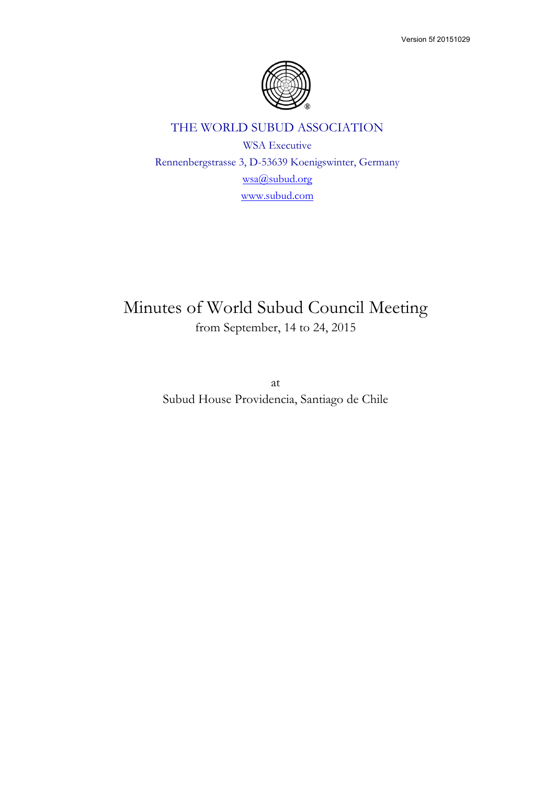

# THE WORLD SUBUD ASSOCIATION

WSA Executive Rennenbergstrasse 3, D-53639 Koenigswinter, Germany wsa@subud.org www.subud.com

# Minutes of World Subud Council Meeting from September, 14 to 24, 2015

at Subud House Providencia, Santiago de Chile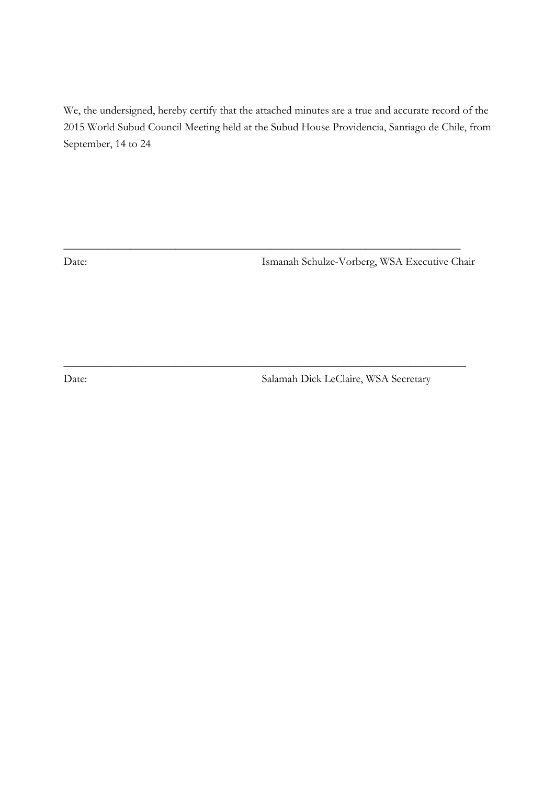We, the undersigned, hereby certify that the attached minutes are a true and accurate record of the 2015 World Subud Council Meeting held at the Subud House Providencia, Santiago de Chile, from September, 14 to 24

\_\_\_\_\_\_\_\_\_\_\_\_\_\_\_\_\_\_\_\_\_\_\_\_\_\_\_\_\_\_\_\_\_\_\_\_\_\_\_\_\_\_\_\_\_\_\_\_\_\_\_\_\_\_\_\_\_\_\_\_\_\_\_\_\_\_\_\_\_\_\_

 $\_$  , and the set of the set of the set of the set of the set of the set of the set of the set of the set of the set of the set of the set of the set of the set of the set of the set of the set of the set of the set of th

Date: Ismanah Schulze-Vorberg, WSA Executive Chair

Date: Salamah Dick LeClaire, WSA Secretary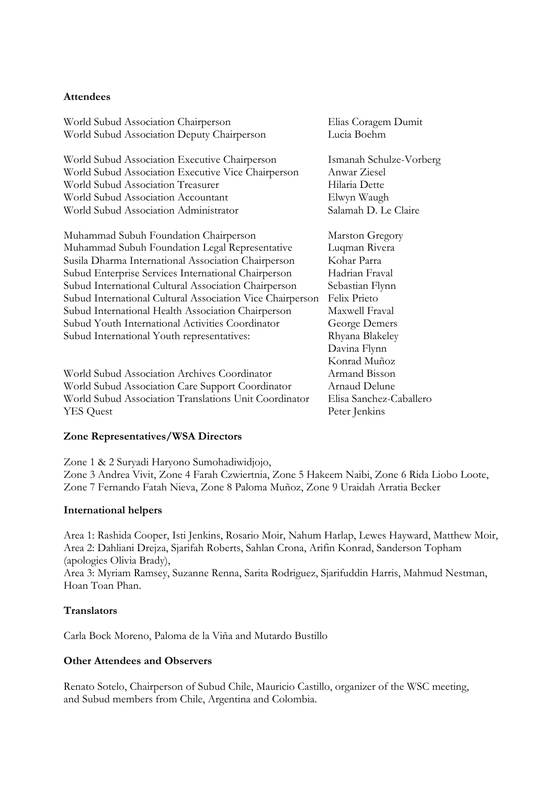#### **Attendees**

| World Subud Association Chairperson                       | Elias Coragem Dumit     |
|-----------------------------------------------------------|-------------------------|
| World Subud Association Deputy Chairperson                | Lucia Boehm             |
| World Subud Association Executive Chairperson             | Ismanah Schulze-Vorberg |
| World Subud Association Executive Vice Chairperson        | Anwar Ziesel            |
| World Subud Association Treasurer                         | Hilaria Dette           |
| World Subud Association Accountant                        | Elwyn Waugh             |
| World Subud Association Administrator                     | Salamah D. Le Claire    |
| Muhammad Subuh Foundation Chairperson                     | Marston Gregory         |
| Muhammad Subuh Foundation Legal Representative            | Luqman Rivera           |
| Susila Dharma International Association Chairperson       | Kohar Parra             |
| Subud Enterprise Services International Chairperson       | Hadrian Fraval          |
| Subud International Cultural Association Chairperson      | Sebastian Flynn         |
| Subud International Cultural Association Vice Chairperson | Felix Prieto            |
| Subud International Health Association Chairperson        | Maxwell Fraval          |
| Subud Youth International Activities Coordinator          | George Demers           |
| Subud International Youth representatives:                | Rhyana Blakeley         |
|                                                           | Davina Flynn            |
|                                                           | Konrad Muñoz            |
| World Subud Association Archives Coordinator              | Armand Bisson           |
| World Subud Association Care Support Coordinator          | Arnaud Delune           |
| World Subud Association Translations Unit Coordinator     | Elisa Sanchez-Caballero |
| <b>YES</b> Quest                                          | Peter Jenkins           |
|                                                           |                         |

#### **Zone Representatives/WSA Directors**

Zone 1 & 2 Suryadi Haryono Sumohadiwidjojo, Zone 3 Andrea Vivit, Zone 4 Farah Czwiertnia, Zone 5 Hakeem Naibi, Zone 6 Rida Liobo Loote, Zone 7 Fernando Fatah Nieva, Zone 8 Paloma Muñoz, Zone 9 Uraidah Arratia Becker

#### **International helpers**

Area 1: Rashida Cooper, Isti Jenkins, Rosario Moir, Nahum Harlap, Lewes Hayward, Matthew Moir, Area 2: Dahliani Drejza, Sjarifah Roberts, Sahlan Crona, Arifin Konrad, Sanderson Topham (apologies Olivia Brady),

Area 3: Myriam Ramsey, Suzanne Renna, Sarita Rodriguez, Sjarifuddin Harris, Mahmud Nestman, Hoan Toan Phan.

#### **Translators**

Carla Bock Moreno, Paloma de la Viña and Mutardo Bustillo

#### **Other Attendees and Observers**

Renato Sotelo, Chairperson of Subud Chile, Mauricio Castillo, organizer of the WSC meeting, and Subud members from Chile, Argentina and Colombia.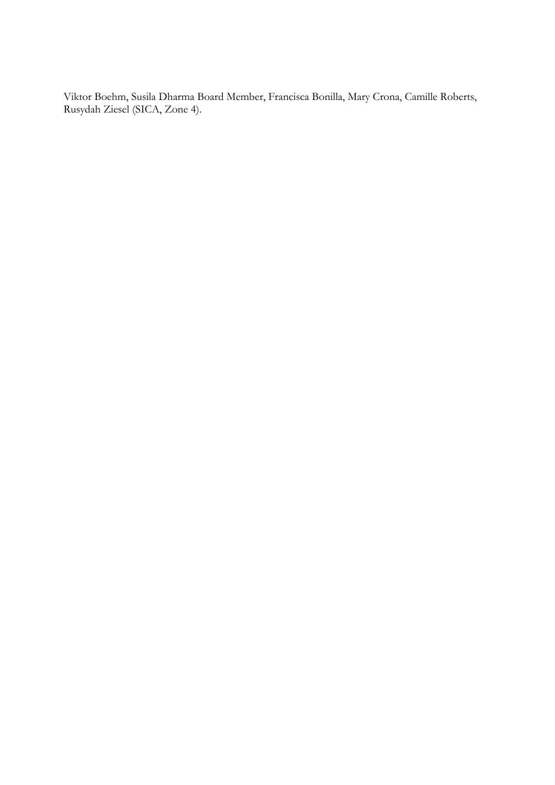Viktor Boehm, Susila Dharma Board Member, Francisca Bonilla, Mary Crona, Camille Roberts, Rusydah Ziesel (SICA, Zone 4).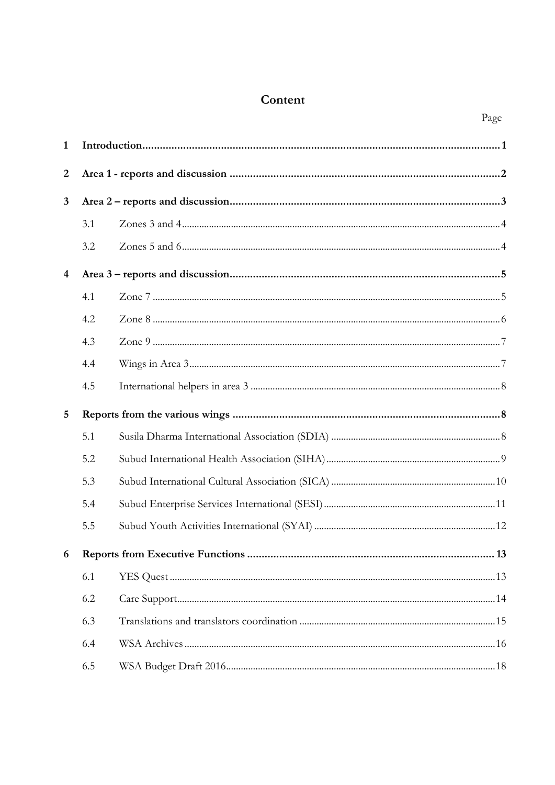# Content

Page

| $\mathbf{1}$            |     |  |
|-------------------------|-----|--|
| $\boldsymbol{2}$        |     |  |
| $\mathbf{3}$            |     |  |
|                         | 3.1 |  |
|                         | 3.2 |  |
| $\overline{\mathbf{4}}$ |     |  |
|                         | 4.1 |  |
|                         | 4.2 |  |
|                         | 4.3 |  |
|                         | 4.4 |  |
|                         | 4.5 |  |
| 5                       |     |  |
|                         | 5.1 |  |
|                         | 5.2 |  |
|                         | 5.3 |  |
|                         | 5.4 |  |
|                         | 5.5 |  |
| 6                       |     |  |
|                         | 6.1 |  |
|                         | 6.2 |  |
|                         | 6.3 |  |
|                         | 6.4 |  |
|                         | 6.5 |  |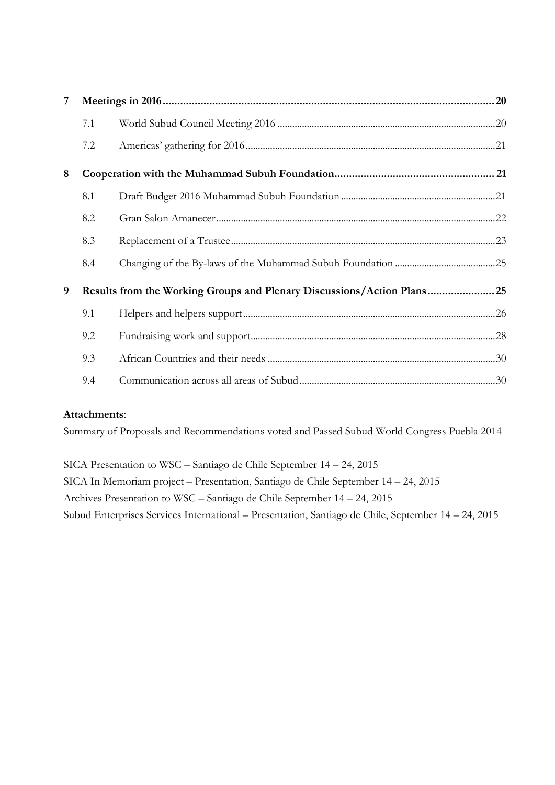| 7 |     |                                                                         |  |
|---|-----|-------------------------------------------------------------------------|--|
|   | 7.1 |                                                                         |  |
|   | 7.2 |                                                                         |  |
| 8 |     |                                                                         |  |
|   | 8.1 |                                                                         |  |
|   | 8.2 |                                                                         |  |
|   | 8.3 |                                                                         |  |
|   | 8.4 |                                                                         |  |
| 9 |     | Results from the Working Groups and Plenary Discussions/Action Plans 25 |  |
|   | 9.1 |                                                                         |  |
|   | 9.2 |                                                                         |  |
|   | 9.3 |                                                                         |  |
|   | 9.4 |                                                                         |  |

### **Attachments**:

Summary of Proposals and Recommendations voted and Passed Subud World Congress Puebla 2014

SICA Presentation to WSC – Santiago de Chile September 14 – 24, 2015 SICA In Memoriam project – Presentation, Santiago de Chile September 14 – 24, 2015 Archives Presentation to WSC – Santiago de Chile September 14 – 24, 2015 Subud Enterprises Services International – Presentation, Santiago de Chile, September 14 – 24, 2015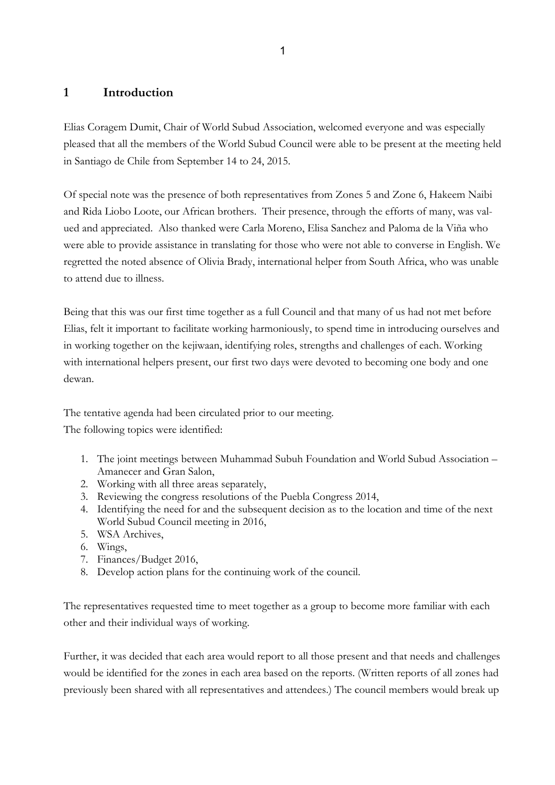# **1 Introduction**

Elias Coragem Dumit, Chair of World Subud Association, welcomed everyone and was especially pleased that all the members of the World Subud Council were able to be present at the meeting held in Santiago de Chile from September 14 to 24, 2015.

Of special note was the presence of both representatives from Zones 5 and Zone 6, Hakeem Naibi and Rida Liobo Loote, our African brothers. Their presence, through the efforts of many, was valued and appreciated. Also thanked were Carla Moreno, Elisa Sanchez and Paloma de la Viña who were able to provide assistance in translating for those who were not able to converse in English. We regretted the noted absence of Olivia Brady, international helper from South Africa, who was unable to attend due to illness.

Being that this was our first time together as a full Council and that many of us had not met before Elias, felt it important to facilitate working harmoniously, to spend time in introducing ourselves and in working together on the kejiwaan, identifying roles, strengths and challenges of each. Working with international helpers present, our first two days were devoted to becoming one body and one dewan.

The tentative agenda had been circulated prior to our meeting.

The following topics were identified:

- 1. The joint meetings between Muhammad Subuh Foundation and World Subud Association Amanecer and Gran Salon,
- 2. Working with all three areas separately,
- 3. Reviewing the congress resolutions of the Puebla Congress 2014,
- 4. Identifying the need for and the subsequent decision as to the location and time of the next World Subud Council meeting in 2016,
- 5. WSA Archives,
- 6. Wings,
- 7. Finances/Budget 2016,
- 8. Develop action plans for the continuing work of the council.

The representatives requested time to meet together as a group to become more familiar with each other and their individual ways of working.

Further, it was decided that each area would report to all those present and that needs and challenges would be identified for the zones in each area based on the reports. (Written reports of all zones had previously been shared with all representatives and attendees.) The council members would break up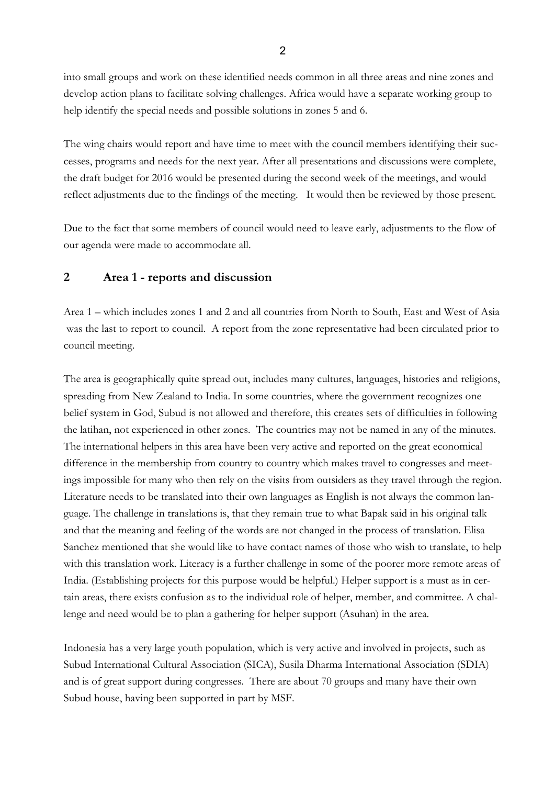into small groups and work on these identified needs common in all three areas and nine zones and develop action plans to facilitate solving challenges. Africa would have a separate working group to help identify the special needs and possible solutions in zones 5 and 6.

The wing chairs would report and have time to meet with the council members identifying their successes, programs and needs for the next year. After all presentations and discussions were complete, the draft budget for 2016 would be presented during the second week of the meetings, and would reflect adjustments due to the findings of the meeting. It would then be reviewed by those present.

Due to the fact that some members of council would need to leave early, adjustments to the flow of our agenda were made to accommodate all.

# **2 Area 1 - reports and discussion**

Area 1 – which includes zones 1 and 2 and all countries from North to South, East and West of Asia was the last to report to council. A report from the zone representative had been circulated prior to council meeting.

The area is geographically quite spread out, includes many cultures, languages, histories and religions, spreading from New Zealand to India. In some countries, where the government recognizes one belief system in God, Subud is not allowed and therefore, this creates sets of difficulties in following the latihan, not experienced in other zones. The countries may not be named in any of the minutes. The international helpers in this area have been very active and reported on the great economical difference in the membership from country to country which makes travel to congresses and meetings impossible for many who then rely on the visits from outsiders as they travel through the region. Literature needs to be translated into their own languages as English is not always the common language. The challenge in translations is, that they remain true to what Bapak said in his original talk and that the meaning and feeling of the words are not changed in the process of translation. Elisa Sanchez mentioned that she would like to have contact names of those who wish to translate, to help with this translation work. Literacy is a further challenge in some of the poorer more remote areas of India. (Establishing projects for this purpose would be helpful.) Helper support is a must as in certain areas, there exists confusion as to the individual role of helper, member, and committee. A challenge and need would be to plan a gathering for helper support (Asuhan) in the area.

Indonesia has a very large youth population, which is very active and involved in projects, such as Subud International Cultural Association (SICA), Susila Dharma International Association (SDIA) and is of great support during congresses. There are about 70 groups and many have their own Subud house, having been supported in part by MSF.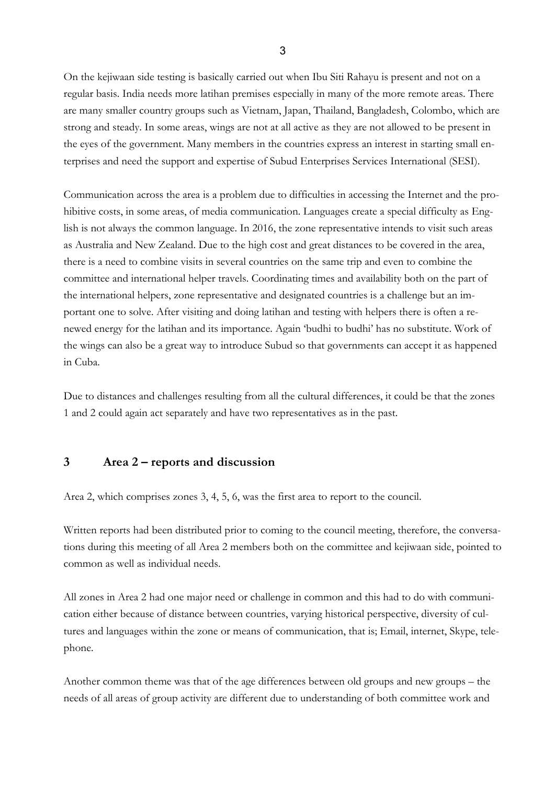On the kejiwaan side testing is basically carried out when Ibu Siti Rahayu is present and not on a regular basis. India needs more latihan premises especially in many of the more remote areas. There are many smaller country groups such as Vietnam, Japan, Thailand, Bangladesh, Colombo, which are strong and steady. In some areas, wings are not at all active as they are not allowed to be present in the eyes of the government. Many members in the countries express an interest in starting small enterprises and need the support and expertise of Subud Enterprises Services International (SESI).

Communication across the area is a problem due to difficulties in accessing the Internet and the prohibitive costs, in some areas, of media communication. Languages create a special difficulty as English is not always the common language. In 2016, the zone representative intends to visit such areas as Australia and New Zealand. Due to the high cost and great distances to be covered in the area, there is a need to combine visits in several countries on the same trip and even to combine the committee and international helper travels. Coordinating times and availability both on the part of the international helpers, zone representative and designated countries is a challenge but an important one to solve. After visiting and doing latihan and testing with helpers there is often a renewed energy for the latihan and its importance. Again 'budhi to budhi' has no substitute. Work of the wings can also be a great way to introduce Subud so that governments can accept it as happened in Cuba.

Due to distances and challenges resulting from all the cultural differences, it could be that the zones 1 and 2 could again act separately and have two representatives as in the past.

#### **3 Area 2 – reports and discussion**

Area 2, which comprises zones 3, 4, 5, 6, was the first area to report to the council.

Written reports had been distributed prior to coming to the council meeting, therefore, the conversations during this meeting of all Area 2 members both on the committee and kejiwaan side, pointed to common as well as individual needs.

All zones in Area 2 had one major need or challenge in common and this had to do with communication either because of distance between countries, varying historical perspective, diversity of cultures and languages within the zone or means of communication, that is; Email, internet, Skype, telephone.

Another common theme was that of the age differences between old groups and new groups – the needs of all areas of group activity are different due to understanding of both committee work and

3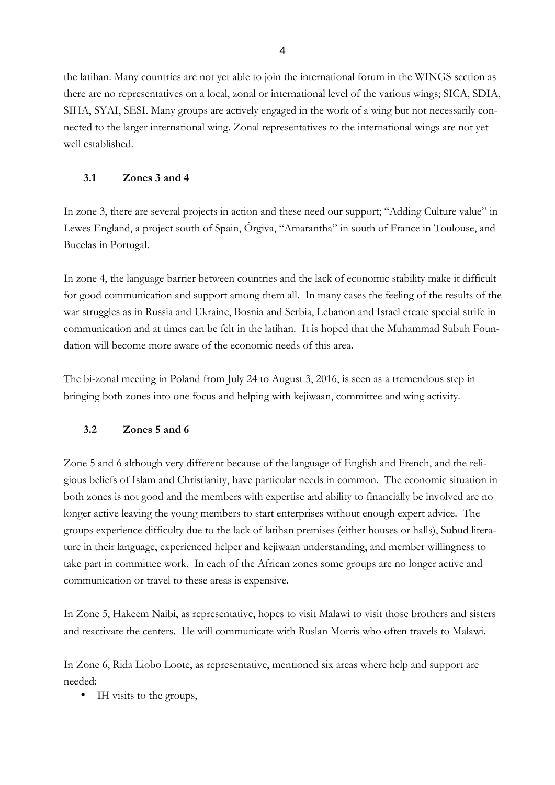the latihan. Many countries are not yet able to join the international forum in the WINGS section as there are no representatives on a local, zonal or international level of the various wings; SICA, SDIA, SIHA, SYAI, SESI. Many groups are actively engaged in the work of a wing but not necessarily connected to the larger international wing. Zonal representatives to the international wings are not yet well established.

#### **3.1 Zones 3 and 4**

In zone 3, there are several projects in action and these need our support; "Adding Culture value" in Lewes England, a project south of Spain, Órgiva, "Amarantha" in south of France in Toulouse, and Bucelas in Portugal.

In zone 4, the language barrier between countries and the lack of economic stability make it difficult for good communication and support among them all. In many cases the feeling of the results of the war struggles as in Russia and Ukraine, Bosnia and Serbia, Lebanon and Israel create special strife in communication and at times can be felt in the latihan. It is hoped that the Muhammad Subuh Foundation will become more aware of the economic needs of this area.

The bi-zonal meeting in Poland from July 24 to August 3, 2016, is seen as a tremendous step in bringing both zones into one focus and helping with kejiwaan, committee and wing activity.

### **3.2 Zones 5 and 6**

Zone 5 and 6 although very different because of the language of English and French, and the religious beliefs of Islam and Christianity, have particular needs in common. The economic situation in both zones is not good and the members with expertise and ability to financially be involved are no longer active leaving the young members to start enterprises without enough expert advice. The groups experience difficulty due to the lack of latihan premises (either houses or halls), Subud literature in their language, experienced helper and kejiwaan understanding, and member willingness to take part in committee work. In each of the African zones some groups are no longer active and communication or travel to these areas is expensive.

In Zone 5, Hakeem Naibi, as representative, hopes to visit Malawi to visit those brothers and sisters and reactivate the centers. He will communicate with Ruslan Morris who often travels to Malawi.

In Zone 6, Rida Liobo Loote, as representative, mentioned six areas where help and support are needed:

• IH visits to the groups,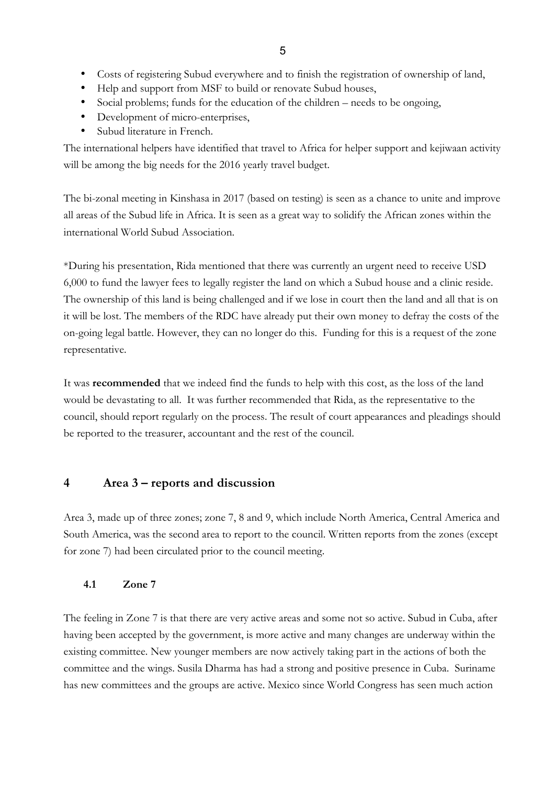- Costs of registering Subud everywhere and to finish the registration of ownership of land,
- Help and support from MSF to build or renovate Subud houses,
- Social problems; funds for the education of the children needs to be ongoing,
- Development of micro-enterprises,
- Subud literature in French.

The international helpers have identified that travel to Africa for helper support and kejiwaan activity will be among the big needs for the 2016 yearly travel budget.

The bi-zonal meeting in Kinshasa in 2017 (based on testing) is seen as a chance to unite and improve all areas of the Subud life in Africa. It is seen as a great way to solidify the African zones within the international World Subud Association.

\*During his presentation, Rida mentioned that there was currently an urgent need to receive USD 6,000 to fund the lawyer fees to legally register the land on which a Subud house and a clinic reside. The ownership of this land is being challenged and if we lose in court then the land and all that is on it will be lost. The members of the RDC have already put their own money to defray the costs of the on-going legal battle. However, they can no longer do this. Funding for this is a request of the zone representative.

It was **recommended** that we indeed find the funds to help with this cost, as the loss of the land would be devastating to all. It was further recommended that Rida, as the representative to the council, should report regularly on the process. The result of court appearances and pleadings should be reported to the treasurer, accountant and the rest of the council.

# **4 Area 3 – reports and discussion**

Area 3, made up of three zones; zone 7, 8 and 9, which include North America, Central America and South America, was the second area to report to the council. Written reports from the zones (except for zone 7) had been circulated prior to the council meeting.

### **4.1 Zone 7**

The feeling in Zone 7 is that there are very active areas and some not so active. Subud in Cuba, after having been accepted by the government, is more active and many changes are underway within the existing committee. New younger members are now actively taking part in the actions of both the committee and the wings. Susila Dharma has had a strong and positive presence in Cuba. Suriname has new committees and the groups are active. Mexico since World Congress has seen much action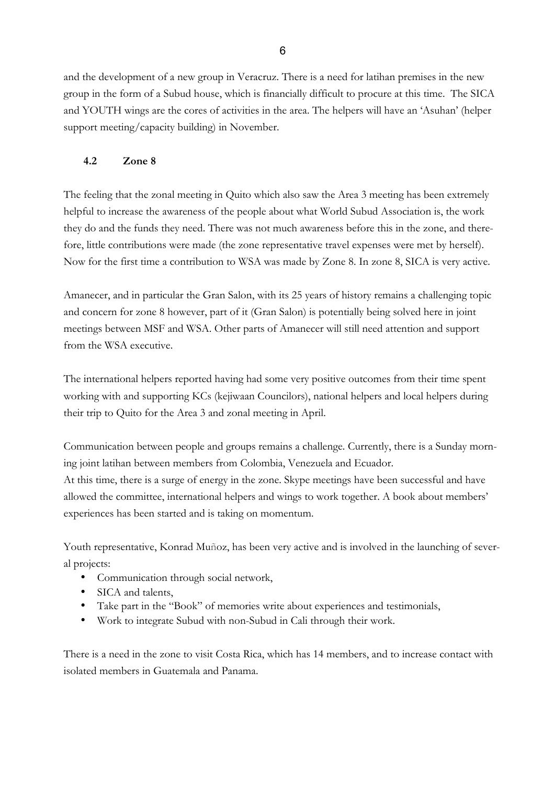and the development of a new group in Veracruz. There is a need for latihan premises in the new group in the form of a Subud house, which is financially difficult to procure at this time. The SICA and YOUTH wings are the cores of activities in the area. The helpers will have an 'Asuhan' (helper support meeting/capacity building) in November.

## **4.2 Zone 8**

The feeling that the zonal meeting in Quito which also saw the Area 3 meeting has been extremely helpful to increase the awareness of the people about what World Subud Association is, the work they do and the funds they need. There was not much awareness before this in the zone, and therefore, little contributions were made (the zone representative travel expenses were met by herself). Now for the first time a contribution to WSA was made by Zone 8. In zone 8, SICA is very active.

Amanecer, and in particular the Gran Salon, with its 25 years of history remains a challenging topic and concern for zone 8 however, part of it (Gran Salon) is potentially being solved here in joint meetings between MSF and WSA. Other parts of Amanecer will still need attention and support from the WSA executive.

The international helpers reported having had some very positive outcomes from their time spent working with and supporting KCs (kejiwaan Councilors), national helpers and local helpers during their trip to Quito for the Area 3 and zonal meeting in April.

Communication between people and groups remains a challenge. Currently, there is a Sunday morning joint latihan between members from Colombia, Venezuela and Ecuador. At this time, there is a surge of energy in the zone. Skype meetings have been successful and have allowed the committee, international helpers and wings to work together. A book about members' experiences has been started and is taking on momentum.

Youth representative, Konrad Muñoz, has been very active and is involved in the launching of several projects:

- Communication through social network,
- SICA and talents,
- Take part in the "Book" of memories write about experiences and testimonials,
- Work to integrate Subud with non-Subud in Cali through their work.

There is a need in the zone to visit Costa Rica, which has 14 members, and to increase contact with isolated members in Guatemala and Panama.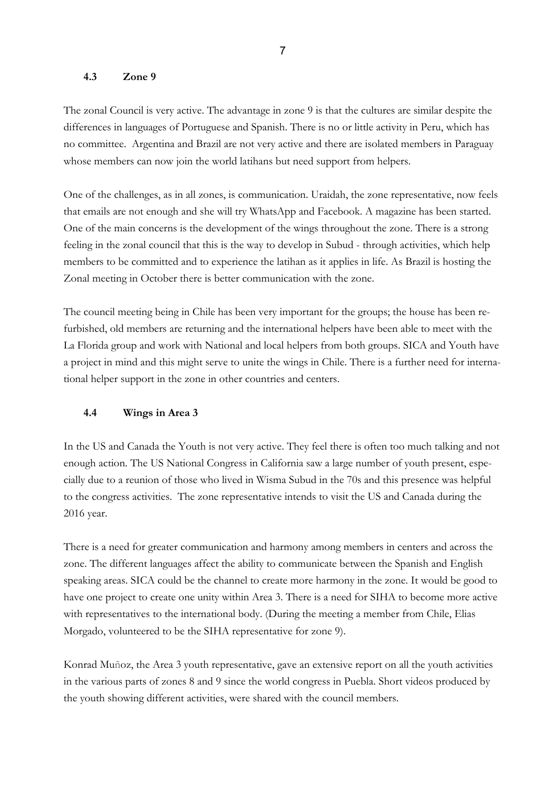#### **4.3 Zone 9**

The zonal Council is very active. The advantage in zone 9 is that the cultures are similar despite the differences in languages of Portuguese and Spanish. There is no or little activity in Peru, which has no committee. Argentina and Brazil are not very active and there are isolated members in Paraguay whose members can now join the world latihans but need support from helpers.

One of the challenges, as in all zones, is communication. Uraidah, the zone representative, now feels that emails are not enough and she will try WhatsApp and Facebook. A magazine has been started. One of the main concerns is the development of the wings throughout the zone. There is a strong feeling in the zonal council that this is the way to develop in Subud - through activities, which help members to be committed and to experience the latihan as it applies in life. As Brazil is hosting the Zonal meeting in October there is better communication with the zone.

The council meeting being in Chile has been very important for the groups; the house has been refurbished, old members are returning and the international helpers have been able to meet with the La Florida group and work with National and local helpers from both groups. SICA and Youth have a project in mind and this might serve to unite the wings in Chile. There is a further need for international helper support in the zone in other countries and centers.

#### **4.4 Wings in Area 3**

In the US and Canada the Youth is not very active. They feel there is often too much talking and not enough action. The US National Congress in California saw a large number of youth present, especially due to a reunion of those who lived in Wisma Subud in the 70s and this presence was helpful to the congress activities. The zone representative intends to visit the US and Canada during the 2016 year.

There is a need for greater communication and harmony among members in centers and across the zone. The different languages affect the ability to communicate between the Spanish and English speaking areas. SICA could be the channel to create more harmony in the zone. It would be good to have one project to create one unity within Area 3. There is a need for SIHA to become more active with representatives to the international body. (During the meeting a member from Chile, Elias Morgado, volunteered to be the SIHA representative for zone 9).

Konrad Muñoz, the Area 3 youth representative, gave an extensive report on all the youth activities in the various parts of zones 8 and 9 since the world congress in Puebla. Short videos produced by the youth showing different activities, were shared with the council members.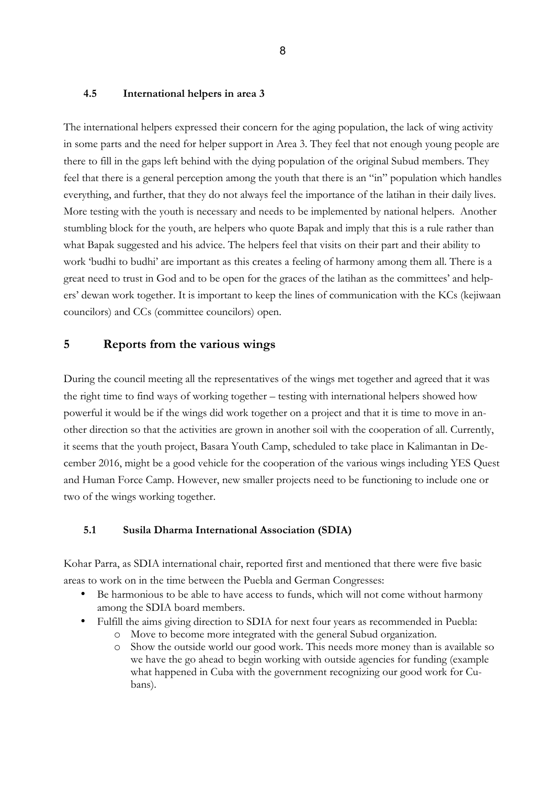#### **4.5 International helpers in area 3**

The international helpers expressed their concern for the aging population, the lack of wing activity in some parts and the need for helper support in Area 3. They feel that not enough young people are there to fill in the gaps left behind with the dying population of the original Subud members. They feel that there is a general perception among the youth that there is an "in" population which handles everything, and further, that they do not always feel the importance of the latihan in their daily lives. More testing with the youth is necessary and needs to be implemented by national helpers. Another stumbling block for the youth, are helpers who quote Bapak and imply that this is a rule rather than what Bapak suggested and his advice. The helpers feel that visits on their part and their ability to work 'budhi to budhi' are important as this creates a feeling of harmony among them all. There is a great need to trust in God and to be open for the graces of the latihan as the committees' and helpers' dewan work together. It is important to keep the lines of communication with the KCs (kejiwaan councilors) and CCs (committee councilors) open.

### **5 Reports from the various wings**

During the council meeting all the representatives of the wings met together and agreed that it was the right time to find ways of working together – testing with international helpers showed how powerful it would be if the wings did work together on a project and that it is time to move in another direction so that the activities are grown in another soil with the cooperation of all. Currently, it seems that the youth project, Basara Youth Camp, scheduled to take place in Kalimantan in December 2016, might be a good vehicle for the cooperation of the various wings including YES Quest and Human Force Camp. However, new smaller projects need to be functioning to include one or two of the wings working together.

#### **5.1 Susila Dharma International Association (SDIA)**

Kohar Parra, as SDIA international chair, reported first and mentioned that there were five basic areas to work on in the time between the Puebla and German Congresses:

- Be harmonious to be able to have access to funds, which will not come without harmony among the SDIA board members.
- Fulfill the aims giving direction to SDIA for next four years as recommended in Puebla:
	- o Move to become more integrated with the general Subud organization.
	- o Show the outside world our good work. This needs more money than is available so we have the go ahead to begin working with outside agencies for funding (example what happened in Cuba with the government recognizing our good work for Cubans).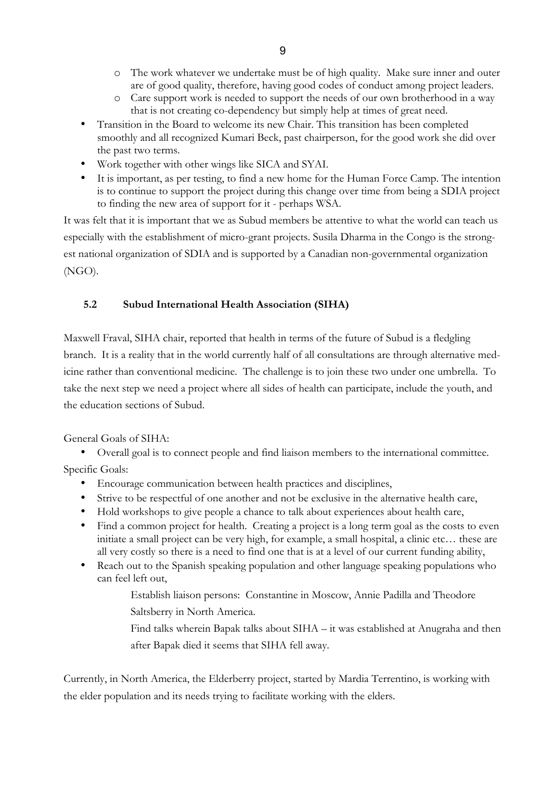- o The work whatever we undertake must be of high quality. Make sure inner and outer are of good quality, therefore, having good codes of conduct among project leaders.
- o Care support work is needed to support the needs of our own brotherhood in a way that is not creating co-dependency but simply help at times of great need.
- Transition in the Board to welcome its new Chair. This transition has been completed smoothly and all recognized Kumari Beck, past chairperson, for the good work she did over the past two terms.
- Work together with other wings like SICA and SYAI.
- It is important, as per testing, to find a new home for the Human Force Camp. The intention is to continue to support the project during this change over time from being a SDIA project to finding the new area of support for it - perhaps WSA.

It was felt that it is important that we as Subud members be attentive to what the world can teach us especially with the establishment of micro-grant projects. Susila Dharma in the Congo is the strongest national organization of SDIA and is supported by a Canadian non-governmental organization (NGO).

# **5.2 Subud International Health Association (SIHA)**

Maxwell Fraval, SIHA chair, reported that health in terms of the future of Subud is a fledgling branch. It is a reality that in the world currently half of all consultations are through alternative medicine rather than conventional medicine. The challenge is to join these two under one umbrella. To take the next step we need a project where all sides of health can participate, include the youth, and the education sections of Subud.

General Goals of SIHA:

• Overall goal is to connect people and find liaison members to the international committee.

Specific Goals:

- Encourage communication between health practices and disciplines,
- Strive to be respectful of one another and not be exclusive in the alternative health care,
- Hold workshops to give people a chance to talk about experiences about health care,
- Find a common project for health. Creating a project is a long term goal as the costs to even initiate a small project can be very high, for example, a small hospital, a clinic etc… these are all very costly so there is a need to find one that is at a level of our current funding ability,
- Reach out to the Spanish speaking population and other language speaking populations who can feel left out,
	- Establish liaison persons: Constantine in Moscow, Annie Padilla and Theodore Saltsberry in North America.
		- Find talks wherein Bapak talks about SIHA it was established at Anugraha and then after Bapak died it seems that SIHA fell away.

Currently, in North America, the Elderberry project, started by Mardia Terrentino, is working with the elder population and its needs trying to facilitate working with the elders.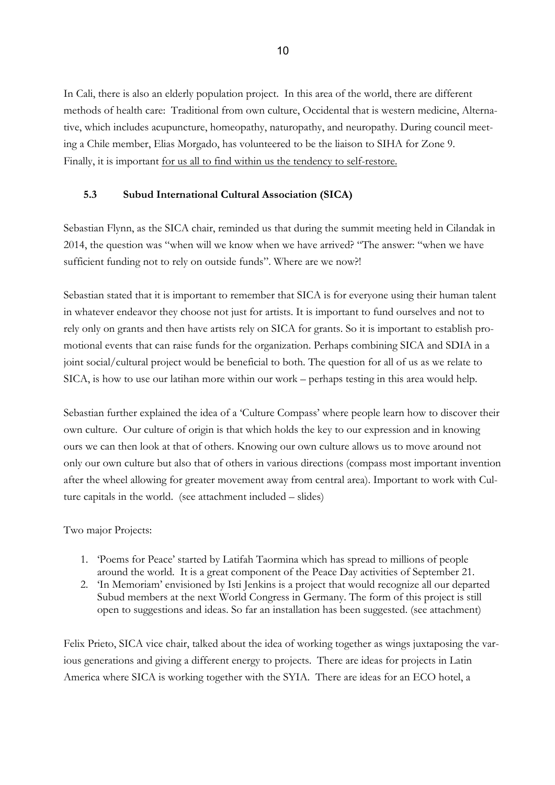In Cali, there is also an elderly population project. In this area of the world, there are different methods of health care: Traditional from own culture, Occidental that is western medicine, Alternative, which includes acupuncture, homeopathy, naturopathy, and neuropathy. During council meeting a Chile member, Elias Morgado, has volunteered to be the liaison to SIHA for Zone 9. Finally, it is important for us all to find within us the tendency to self-restore.

#### **5.3 Subud International Cultural Association (SICA)**

Sebastian Flynn, as the SICA chair, reminded us that during the summit meeting held in Cilandak in 2014, the question was "when will we know when we have arrived? "The answer: "when we have sufficient funding not to rely on outside funds". Where are we now?!

Sebastian stated that it is important to remember that SICA is for everyone using their human talent in whatever endeavor they choose not just for artists. It is important to fund ourselves and not to rely only on grants and then have artists rely on SICA for grants. So it is important to establish promotional events that can raise funds for the organization. Perhaps combining SICA and SDIA in a joint social/cultural project would be beneficial to both. The question for all of us as we relate to SICA, is how to use our latihan more within our work – perhaps testing in this area would help.

Sebastian further explained the idea of a 'Culture Compass' where people learn how to discover their own culture. Our culture of origin is that which holds the key to our expression and in knowing ours we can then look at that of others. Knowing our own culture allows us to move around not only our own culture but also that of others in various directions (compass most important invention after the wheel allowing for greater movement away from central area). Important to work with Culture capitals in the world. (see attachment included – slides)

#### Two major Projects:

- 1. 'Poems for Peace' started by Latifah Taormina which has spread to millions of people around the world. It is a great component of the Peace Day activities of September 21.
- 2. 'In Memoriam' envisioned by Isti Jenkins is a project that would recognize all our departed Subud members at the next World Congress in Germany. The form of this project is still open to suggestions and ideas. So far an installation has been suggested. (see attachment)

Felix Prieto, SICA vice chair, talked about the idea of working together as wings juxtaposing the various generations and giving a different energy to projects. There are ideas for projects in Latin America where SICA is working together with the SYIA. There are ideas for an ECO hotel, a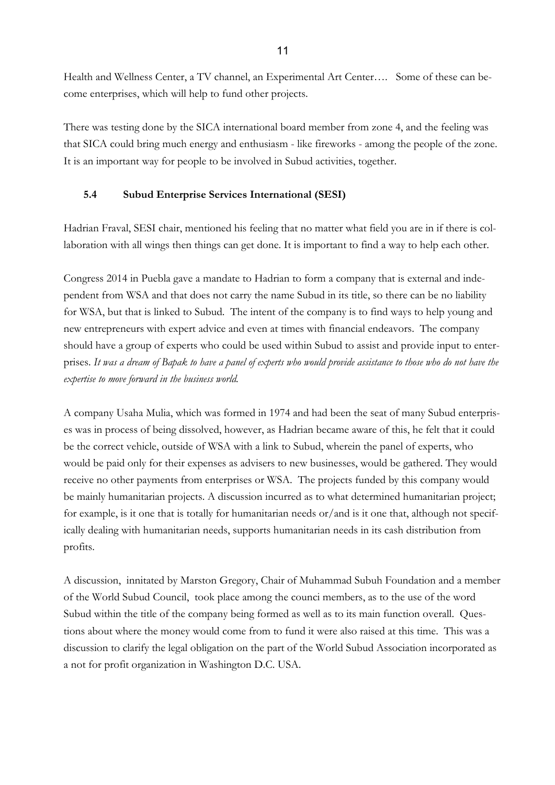Health and Wellness Center, a TV channel, an Experimental Art Center…. Some of these can become enterprises, which will help to fund other projects.

There was testing done by the SICA international board member from zone 4, and the feeling was that SICA could bring much energy and enthusiasm - like fireworks - among the people of the zone. It is an important way for people to be involved in Subud activities, together.

## **5.4 Subud Enterprise Services International (SESI)**

Hadrian Fraval, SESI chair, mentioned his feeling that no matter what field you are in if there is collaboration with all wings then things can get done. It is important to find a way to help each other.

Congress 2014 in Puebla gave a mandate to Hadrian to form a company that is external and independent from WSA and that does not carry the name Subud in its title, so there can be no liability for WSA, but that is linked to Subud. The intent of the company is to find ways to help young and new entrepreneurs with expert advice and even at times with financial endeavors. The company should have a group of experts who could be used within Subud to assist and provide input to enterprises. *It was a dream of Bapak to have a panel of experts who would provide assistance to those who do not have the expertise to move forward in the business world.*

A company Usaha Mulia, which was formed in 1974 and had been the seat of many Subud enterprises was in process of being dissolved, however, as Hadrian became aware of this, he felt that it could be the correct vehicle, outside of WSA with a link to Subud, wherein the panel of experts, who would be paid only for their expenses as advisers to new businesses, would be gathered. They would receive no other payments from enterprises or WSA. The projects funded by this company would be mainly humanitarian projects. A discussion incurred as to what determined humanitarian project; for example, is it one that is totally for humanitarian needs or/and is it one that, although not specifically dealing with humanitarian needs, supports humanitarian needs in its cash distribution from profits.

A discussion, innitated by Marston Gregory, Chair of Muhammad Subuh Foundation and a member of the World Subud Council, took place among the counci members, as to the use of the word Subud within the title of the company being formed as well as to its main function overall. Questions about where the money would come from to fund it were also raised at this time. This was a discussion to clarify the legal obligation on the part of the World Subud Association incorporated as a not for profit organization in Washington D.C. USA.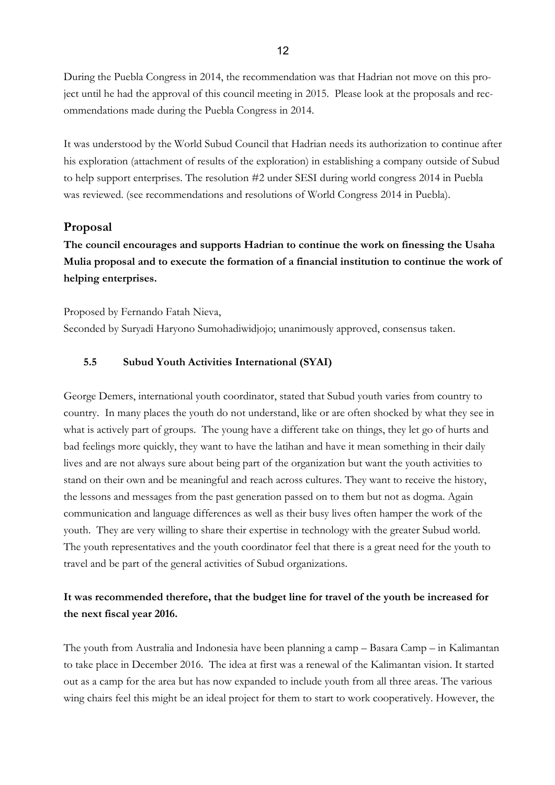During the Puebla Congress in 2014, the recommendation was that Hadrian not move on this project until he had the approval of this council meeting in 2015. Please look at the proposals and recommendations made during the Puebla Congress in 2014.

It was understood by the World Subud Council that Hadrian needs its authorization to continue after his exploration (attachment of results of the exploration) in establishing a company outside of Subud to help support enterprises. The resolution #2 under SESI during world congress 2014 in Puebla was reviewed. (see recommendations and resolutions of World Congress 2014 in Puebla).

### **Proposal**

**The council encourages and supports Hadrian to continue the work on finessing the Usaha Mulia proposal and to execute the formation of a financial institution to continue the work of helping enterprises.**

Proposed by Fernando Fatah Nieva, Seconded by Suryadi Haryono Sumohadiwidjojo; unanimously approved, consensus taken.

### **5.5 Subud Youth Activities International (SYAI)**

George Demers, international youth coordinator, stated that Subud youth varies from country to country. In many places the youth do not understand, like or are often shocked by what they see in what is actively part of groups. The young have a different take on things, they let go of hurts and bad feelings more quickly, they want to have the latihan and have it mean something in their daily lives and are not always sure about being part of the organization but want the youth activities to stand on their own and be meaningful and reach across cultures. They want to receive the history, the lessons and messages from the past generation passed on to them but not as dogma. Again communication and language differences as well as their busy lives often hamper the work of the youth. They are very willing to share their expertise in technology with the greater Subud world. The youth representatives and the youth coordinator feel that there is a great need for the youth to travel and be part of the general activities of Subud organizations.

# **It was recommended therefore, that the budget line for travel of the youth be increased for the next fiscal year 2016.**

The youth from Australia and Indonesia have been planning a camp – Basara Camp – in Kalimantan to take place in December 2016. The idea at first was a renewal of the Kalimantan vision. It started out as a camp for the area but has now expanded to include youth from all three areas. The various wing chairs feel this might be an ideal project for them to start to work cooperatively. However, the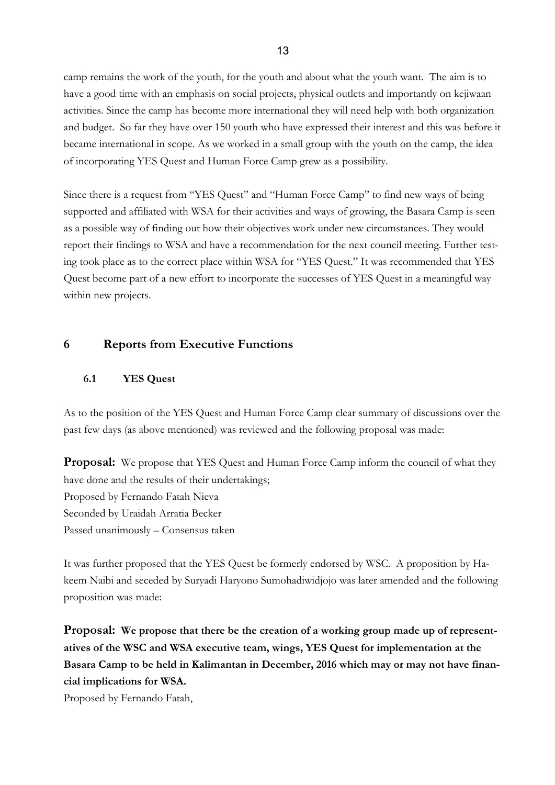camp remains the work of the youth, for the youth and about what the youth want. The aim is to have a good time with an emphasis on social projects, physical outlets and importantly on kejiwaan activities. Since the camp has become more international they will need help with both organization and budget. So far they have over 150 youth who have expressed their interest and this was before it became international in scope. As we worked in a small group with the youth on the camp, the idea of incorporating YES Quest and Human Force Camp grew as a possibility.

Since there is a request from "YES Quest" and "Human Force Camp" to find new ways of being supported and affiliated with WSA for their activities and ways of growing, the Basara Camp is seen as a possible way of finding out how their objectives work under new circumstances. They would report their findings to WSA and have a recommendation for the next council meeting. Further testing took place as to the correct place within WSA for "YES Quest." It was recommended that YES Quest become part of a new effort to incorporate the successes of YES Quest in a meaningful way within new projects.

# **6 Reports from Executive Functions**

#### **6.1 YES Quest**

As to the position of the YES Quest and Human Force Camp clear summary of discussions over the past few days (as above mentioned) was reviewed and the following proposal was made:

**Proposal:** We propose that YES Quest and Human Force Camp inform the council of what they have done and the results of their undertakings; Proposed by Fernando Fatah Nieva Seconded by Uraidah Arratia Becker Passed unanimously – Consensus taken

It was further proposed that the YES Quest be formerly endorsed by WSC. A proposition by Hakeem Naibi and seceded by Suryadi Haryono Sumohadiwidjojo was later amended and the following proposition was made:

**Proposal: We propose that there be the creation of a working group made up of representatives of the WSC and WSA executive team, wings, YES Quest for implementation at the Basara Camp to be held in Kalimantan in December, 2016 which may or may not have financial implications for WSA.**

Proposed by Fernando Fatah,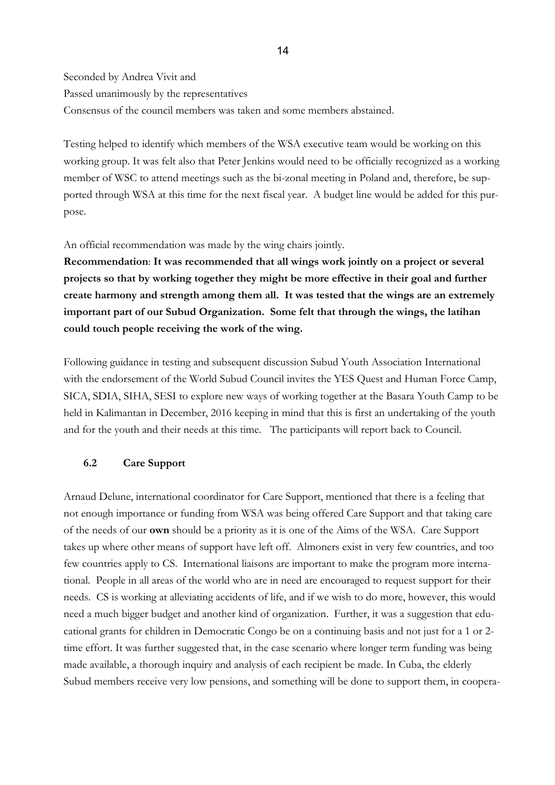Seconded by Andrea Vivit and Passed unanimously by the representatives Consensus of the council members was taken and some members abstained.

Testing helped to identify which members of the WSA executive team would be working on this working group. It was felt also that Peter Jenkins would need to be officially recognized as a working member of WSC to attend meetings such as the bi-zonal meeting in Poland and, therefore, be supported through WSA at this time for the next fiscal year. A budget line would be added for this purpose.

An official recommendation was made by the wing chairs jointly.

**Recommendation**: **It was recommended that all wings work jointly on a project or several projects so that by working together they might be more effective in their goal and further create harmony and strength among them all. It was tested that the wings are an extremely important part of our Subud Organization. Some felt that through the wings, the latihan could touch people receiving the work of the wing.** 

Following guidance in testing and subsequent discussion Subud Youth Association International with the endorsement of the World Subud Council invites the YES Quest and Human Force Camp, SICA, SDIA, SIHA, SESI to explore new ways of working together at the Basara Youth Camp to be held in Kalimantan in December, 2016 keeping in mind that this is first an undertaking of the youth and for the youth and their needs at this time. The participants will report back to Council.

#### **6.2 Care Support**

Arnaud Delune, international coordinator for Care Support, mentioned that there is a feeling that not enough importance or funding from WSA was being offered Care Support and that taking care of the needs of our **own** should be a priority as it is one of the Aims of the WSA. Care Support takes up where other means of support have left off. Almoners exist in very few countries, and too few countries apply to CS. International liaisons are important to make the program more international. People in all areas of the world who are in need are encouraged to request support for their needs. CS is working at alleviating accidents of life, and if we wish to do more, however, this would need a much bigger budget and another kind of organization. Further, it was a suggestion that educational grants for children in Democratic Congo be on a continuing basis and not just for a 1 or 2 time effort. It was further suggested that, in the case scenario where longer term funding was being made available, a thorough inquiry and analysis of each recipient be made. In Cuba, the elderly Subud members receive very low pensions, and something will be done to support them, in coopera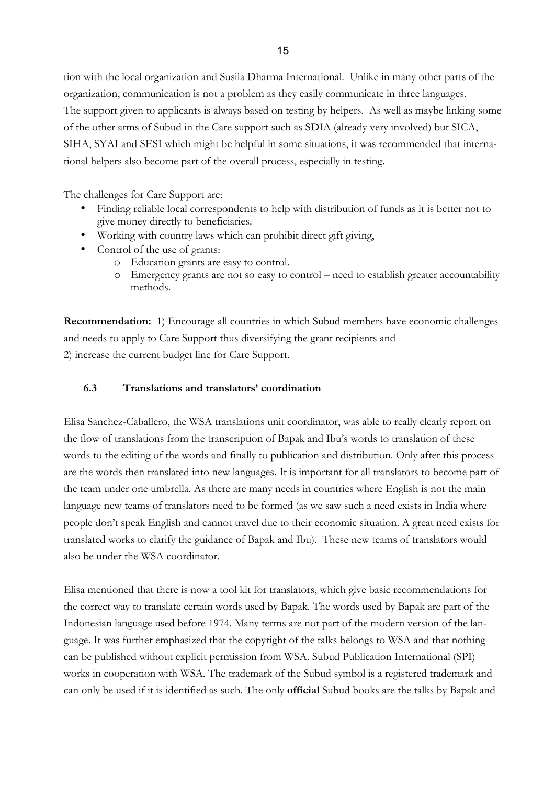tion with the local organization and Susila Dharma International. Unlike in many other parts of the organization, communication is not a problem as they easily communicate in three languages. The support given to applicants is always based on testing by helpers. As well as maybe linking some of the other arms of Subud in the Care support such as SDIA (already very involved) but SICA, SIHA, SYAI and SESI which might be helpful in some situations, it was recommended that international helpers also become part of the overall process, especially in testing.

The challenges for Care Support are:

- Finding reliable local correspondents to help with distribution of funds as it is better not to give money directly to beneficiaries.
- Working with country laws which can prohibit direct gift giving,
- Control of the use of grants:
	- o Education grants are easy to control.
	- o Emergency grants are not so easy to control need to establish greater accountability methods.

**Recommendation:** 1) Encourage all countries in which Subud members have economic challenges and needs to apply to Care Support thus diversifying the grant recipients and 2) increase the current budget line for Care Support.

#### **6.3 Translations and translators' coordination**

Elisa Sanchez-Caballero, the WSA translations unit coordinator, was able to really clearly report on the flow of translations from the transcription of Bapak and Ibu's words to translation of these words to the editing of the words and finally to publication and distribution. Only after this process are the words then translated into new languages. It is important for all translators to become part of the team under one umbrella. As there are many needs in countries where English is not the main language new teams of translators need to be formed (as we saw such a need exists in India where people don't speak English and cannot travel due to their economic situation. A great need exists for translated works to clarify the guidance of Bapak and Ibu). These new teams of translators would also be under the WSA coordinator.

Elisa mentioned that there is now a tool kit for translators, which give basic recommendations for the correct way to translate certain words used by Bapak. The words used by Bapak are part of the Indonesian language used before 1974. Many terms are not part of the modern version of the language. It was further emphasized that the copyright of the talks belongs to WSA and that nothing can be published without explicit permission from WSA. Subud Publication International (SPI) works in cooperation with WSA. The trademark of the Subud symbol is a registered trademark and can only be used if it is identified as such. The only **official** Subud books are the talks by Bapak and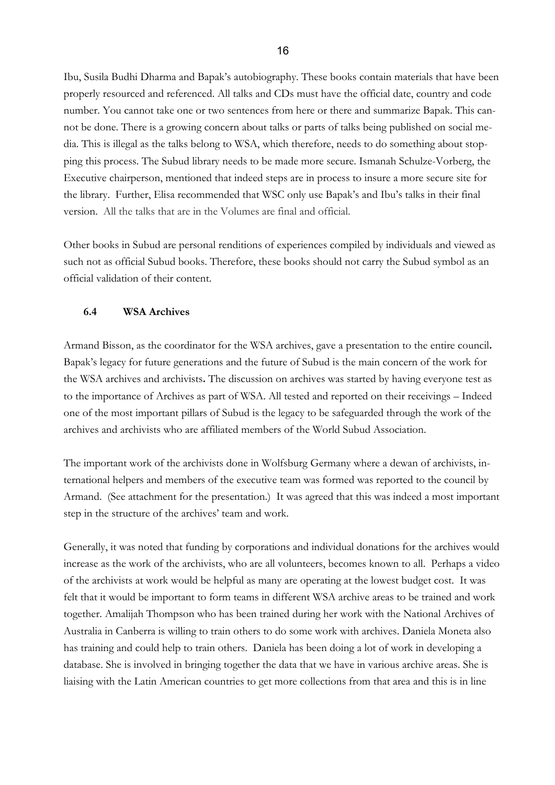Ibu, Susila Budhi Dharma and Bapak's autobiography. These books contain materials that have been properly resourced and referenced. All talks and CDs must have the official date, country and code number. You cannot take one or two sentences from here or there and summarize Bapak. This cannot be done. There is a growing concern about talks or parts of talks being published on social media. This is illegal as the talks belong to WSA, which therefore, needs to do something about stopping this process. The Subud library needs to be made more secure. Ismanah Schulze-Vorberg, the Executive chairperson, mentioned that indeed steps are in process to insure a more secure site for the library. Further, Elisa recommended that WSC only use Bapak's and Ibu's talks in their final version. All the talks that are in the Volumes are final and official.

Other books in Subud are personal renditions of experiences compiled by individuals and viewed as such not as official Subud books. Therefore, these books should not carry the Subud symbol as an official validation of their content.

#### **6.4 WSA Archives**

Armand Bisson, as the coordinator for the WSA archives, gave a presentation to the entire council**.**  Bapak's legacy for future generations and the future of Subud is the main concern of the work for the WSA archives and archivists**.** The discussion on archives was started by having everyone test as to the importance of Archives as part of WSA. All tested and reported on their receivings – Indeed one of the most important pillars of Subud is the legacy to be safeguarded through the work of the archives and archivists who are affiliated members of the World Subud Association.

The important work of the archivists done in Wolfsburg Germany where a dewan of archivists, international helpers and members of the executive team was formed was reported to the council by Armand. (See attachment for the presentation.) It was agreed that this was indeed a most important step in the structure of the archives' team and work.

Generally, it was noted that funding by corporations and individual donations for the archives would increase as the work of the archivists, who are all volunteers, becomes known to all. Perhaps a video of the archivists at work would be helpful as many are operating at the lowest budget cost. It was felt that it would be important to form teams in different WSA archive areas to be trained and work together. Amalijah Thompson who has been trained during her work with the National Archives of Australia in Canberra is willing to train others to do some work with archives. Daniela Moneta also has training and could help to train others. Daniela has been doing a lot of work in developing a database. She is involved in bringing together the data that we have in various archive areas. She is liaising with the Latin American countries to get more collections from that area and this is in line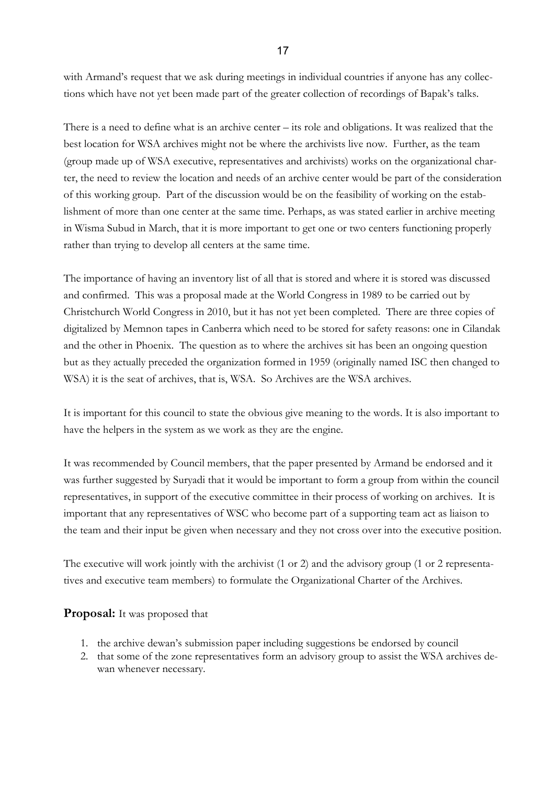with Armand's request that we ask during meetings in individual countries if anyone has any collections which have not yet been made part of the greater collection of recordings of Bapak's talks.

There is a need to define what is an archive center – its role and obligations. It was realized that the best location for WSA archives might not be where the archivists live now. Further, as the team (group made up of WSA executive, representatives and archivists) works on the organizational charter, the need to review the location and needs of an archive center would be part of the consideration of this working group. Part of the discussion would be on the feasibility of working on the establishment of more than one center at the same time. Perhaps, as was stated earlier in archive meeting in Wisma Subud in March, that it is more important to get one or two centers functioning properly rather than trying to develop all centers at the same time.

The importance of having an inventory list of all that is stored and where it is stored was discussed and confirmed. This was a proposal made at the World Congress in 1989 to be carried out by Christchurch World Congress in 2010, but it has not yet been completed. There are three copies of digitalized by Memnon tapes in Canberra which need to be stored for safety reasons: one in Cilandak and the other in Phoenix. The question as to where the archives sit has been an ongoing question but as they actually preceded the organization formed in 1959 (originally named ISC then changed to WSA) it is the seat of archives, that is, WSA. So Archives are the WSA archives.

It is important for this council to state the obvious give meaning to the words. It is also important to have the helpers in the system as we work as they are the engine.

It was recommended by Council members, that the paper presented by Armand be endorsed and it was further suggested by Suryadi that it would be important to form a group from within the council representatives, in support of the executive committee in their process of working on archives. It is important that any representatives of WSC who become part of a supporting team act as liaison to the team and their input be given when necessary and they not cross over into the executive position.

The executive will work jointly with the archivist (1 or 2) and the advisory group (1 or 2 representatives and executive team members) to formulate the Organizational Charter of the Archives.

### **Proposal:** It was proposed that

- 1. the archive dewan's submission paper including suggestions be endorsed by council
- 2. that some of the zone representatives form an advisory group to assist the WSA archives dewan whenever necessary.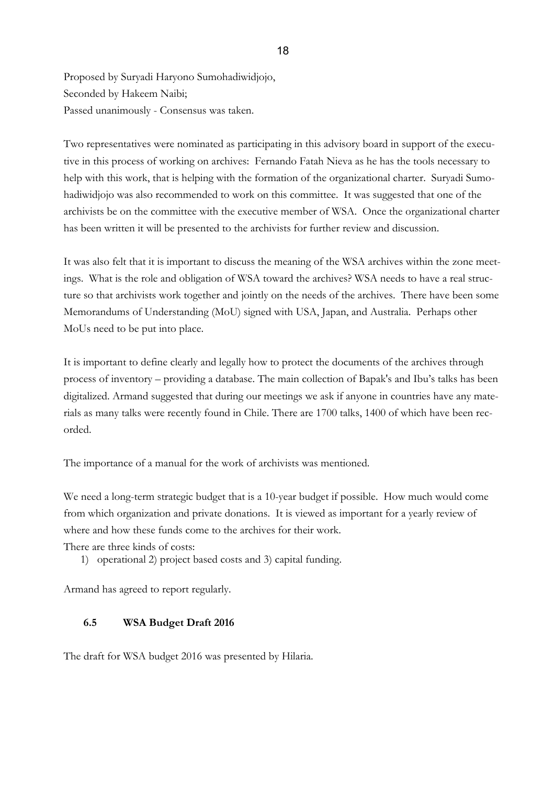Proposed by Suryadi Haryono Sumohadiwidjojo, Seconded by Hakeem Naibi; Passed unanimously - Consensus was taken.

Two representatives were nominated as participating in this advisory board in support of the executive in this process of working on archives: Fernando Fatah Nieva as he has the tools necessary to help with this work, that is helping with the formation of the organizational charter. Suryadi Sumohadiwidjojo was also recommended to work on this committee. It was suggested that one of the archivists be on the committee with the executive member of WSA. Once the organizational charter has been written it will be presented to the archivists for further review and discussion.

It was also felt that it is important to discuss the meaning of the WSA archives within the zone meetings. What is the role and obligation of WSA toward the archives? WSA needs to have a real structure so that archivists work together and jointly on the needs of the archives. There have been some Memorandums of Understanding (MoU) signed with USA, Japan, and Australia. Perhaps other MoUs need to be put into place.

It is important to define clearly and legally how to protect the documents of the archives through process of inventory – providing a database. The main collection of Bapak's and Ibu's talks has been digitalized. Armand suggested that during our meetings we ask if anyone in countries have any materials as many talks were recently found in Chile. There are 1700 talks, 1400 of which have been recorded.

The importance of a manual for the work of archivists was mentioned.

We need a long-term strategic budget that is a 10-year budget if possible. How much would come from which organization and private donations. It is viewed as important for a yearly review of where and how these funds come to the archives for their work.

There are three kinds of costs:

1) operational 2) project based costs and 3) capital funding.

Armand has agreed to report regularly.

### **6.5 WSA Budget Draft 2016**

The draft for WSA budget 2016 was presented by Hilaria.

#### 18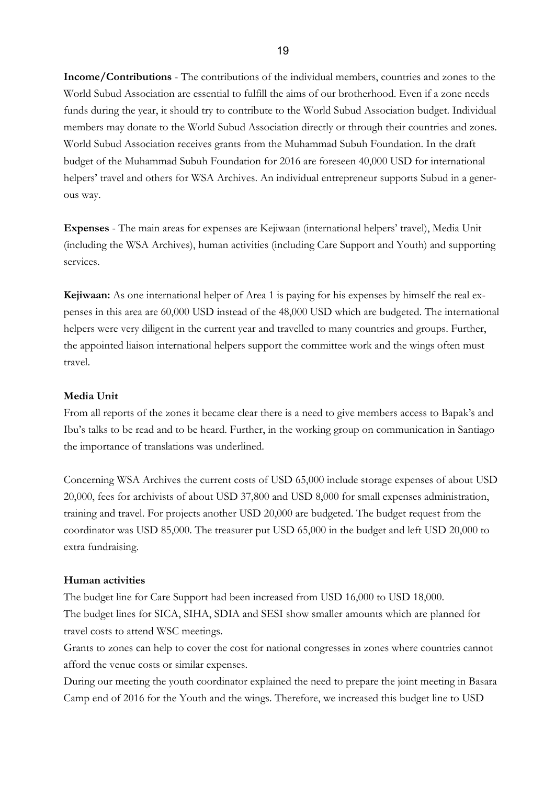**Income/Contributions** - The contributions of the individual members, countries and zones to the World Subud Association are essential to fulfill the aims of our brotherhood. Even if a zone needs funds during the year, it should try to contribute to the World Subud Association budget. Individual members may donate to the World Subud Association directly or through their countries and zones. World Subud Association receives grants from the Muhammad Subuh Foundation. In the draft budget of the Muhammad Subuh Foundation for 2016 are foreseen 40,000 USD for international helpers' travel and others for WSA Archives. An individual entrepreneur supports Subud in a generous way.

**Expenses** - The main areas for expenses are Kejiwaan (international helpers' travel), Media Unit (including the WSA Archives), human activities (including Care Support and Youth) and supporting services.

**Kejiwaan:** As one international helper of Area 1 is paying for his expenses by himself the real expenses in this area are 60,000 USD instead of the 48,000 USD which are budgeted. The international helpers were very diligent in the current year and travelled to many countries and groups. Further, the appointed liaison international helpers support the committee work and the wings often must travel.

#### **Media Unit**

From all reports of the zones it became clear there is a need to give members access to Bapak's and Ibu's talks to be read and to be heard. Further, in the working group on communication in Santiago the importance of translations was underlined.

Concerning WSA Archives the current costs of USD 65,000 include storage expenses of about USD 20,000, fees for archivists of about USD 37,800 and USD 8,000 for small expenses administration, training and travel. For projects another USD 20,000 are budgeted. The budget request from the coordinator was USD 85,000. The treasurer put USD 65,000 in the budget and left USD 20,000 to extra fundraising.

#### **Human activities**

The budget line for Care Support had been increased from USD 16,000 to USD 18,000. The budget lines for SICA, SIHA, SDIA and SESI show smaller amounts which are planned for travel costs to attend WSC meetings.

Grants to zones can help to cover the cost for national congresses in zones where countries cannot afford the venue costs or similar expenses.

During our meeting the youth coordinator explained the need to prepare the joint meeting in Basara Camp end of 2016 for the Youth and the wings. Therefore, we increased this budget line to USD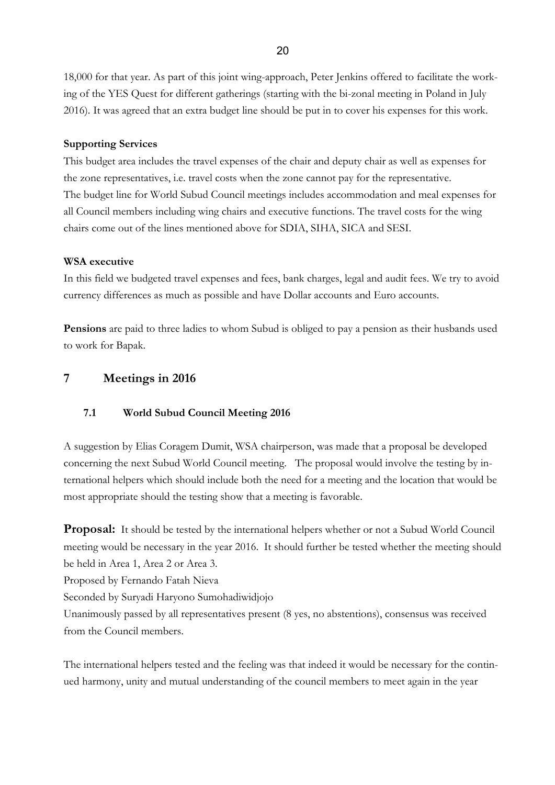18,000 for that year. As part of this joint wing-approach, Peter Jenkins offered to facilitate the working of the YES Quest for different gatherings (starting with the bi-zonal meeting in Poland in July 2016). It was agreed that an extra budget line should be put in to cover his expenses for this work.

#### **Supporting Services**

This budget area includes the travel expenses of the chair and deputy chair as well as expenses for the zone representatives, i.e. travel costs when the zone cannot pay for the representative. The budget line for World Subud Council meetings includes accommodation and meal expenses for all Council members including wing chairs and executive functions. The travel costs for the wing chairs come out of the lines mentioned above for SDIA, SIHA, SICA and SESI.

#### **WSA executive**

In this field we budgeted travel expenses and fees, bank charges, legal and audit fees. We try to avoid currency differences as much as possible and have Dollar accounts and Euro accounts.

**Pensions** are paid to three ladies to whom Subud is obliged to pay a pension as their husbands used to work for Bapak.

# **7 Meetings in 2016**

### **7.1 World Subud Council Meeting 2016**

A suggestion by Elias Coragem Dumit, WSA chairperson, was made that a proposal be developed concerning the next Subud World Council meeting. The proposal would involve the testing by international helpers which should include both the need for a meeting and the location that would be most appropriate should the testing show that a meeting is favorable.

**Proposal:** It should be tested by the international helpers whether or not a Subud World Council meeting would be necessary in the year 2016. It should further be tested whether the meeting should be held in Area 1, Area 2 or Area 3.

Proposed by Fernando Fatah Nieva

Seconded by Suryadi Haryono Sumohadiwidjojo

Unanimously passed by all representatives present (8 yes, no abstentions), consensus was received from the Council members.

The international helpers tested and the feeling was that indeed it would be necessary for the continued harmony, unity and mutual understanding of the council members to meet again in the year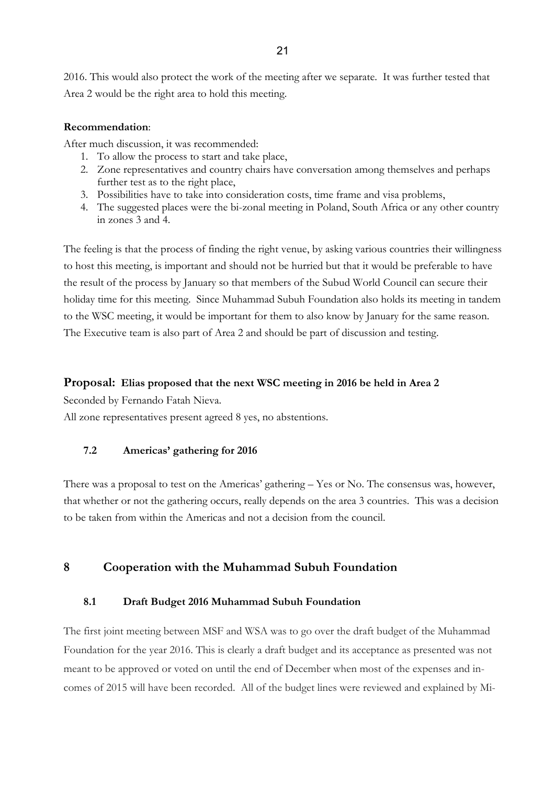2016. This would also protect the work of the meeting after we separate. It was further tested that Area 2 would be the right area to hold this meeting.

#### **Recommendation**:

After much discussion, it was recommended:

- 1. To allow the process to start and take place,
- 2. Zone representatives and country chairs have conversation among themselves and perhaps further test as to the right place,
- 3. Possibilities have to take into consideration costs, time frame and visa problems,
- 4. The suggested places were the bi-zonal meeting in Poland, South Africa or any other country in zones 3 and 4.

The feeling is that the process of finding the right venue, by asking various countries their willingness to host this meeting, is important and should not be hurried but that it would be preferable to have the result of the process by January so that members of the Subud World Council can secure their holiday time for this meeting. Since Muhammad Subuh Foundation also holds its meeting in tandem to the WSC meeting, it would be important for them to also know by January for the same reason. The Executive team is also part of Area 2 and should be part of discussion and testing.

#### **Proposal: Elias proposed that the next WSC meeting in 2016 be held in Area 2**

Seconded by Fernando Fatah Nieva.

All zone representatives present agreed 8 yes, no abstentions.

### **7.2 Americas' gathering for 2016**

There was a proposal to test on the Americas' gathering – Yes or No. The consensus was, however, that whether or not the gathering occurs, really depends on the area 3 countries. This was a decision to be taken from within the Americas and not a decision from the council.

# **8 Cooperation with the Muhammad Subuh Foundation**

#### **8.1 Draft Budget 2016 Muhammad Subuh Foundation**

The first joint meeting between MSF and WSA was to go over the draft budget of the Muhammad Foundation for the year 2016. This is clearly a draft budget and its acceptance as presented was not meant to be approved or voted on until the end of December when most of the expenses and incomes of 2015 will have been recorded. All of the budget lines were reviewed and explained by Mi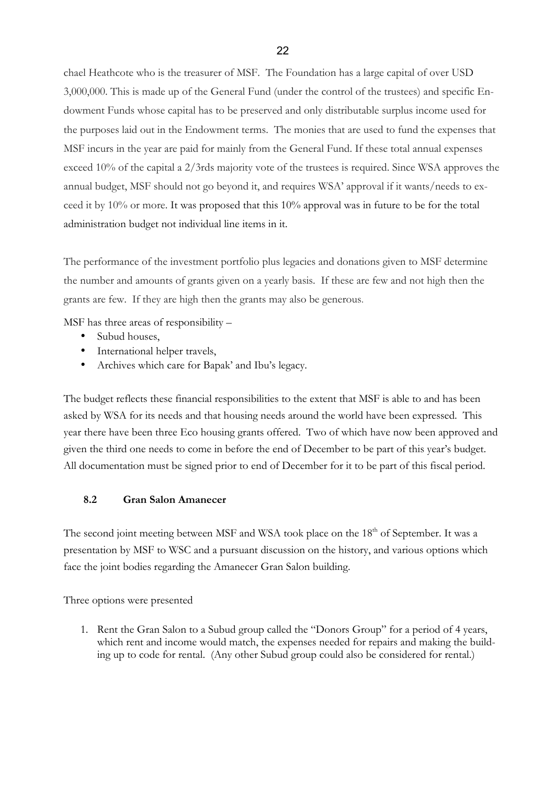chael Heathcote who is the treasurer of MSF. The Foundation has a large capital of over USD 3,000,000. This is made up of the General Fund (under the control of the trustees) and specific Endowment Funds whose capital has to be preserved and only distributable surplus income used for the purposes laid out in the Endowment terms. The monies that are used to fund the expenses that MSF incurs in the year are paid for mainly from the General Fund. If these total annual expenses exceed 10% of the capital a 2/3rds majority vote of the trustees is required. Since WSA approves the annual budget, MSF should not go beyond it, and requires WSA' approval if it wants/needs to exceed it by 10% or more. It was proposed that this 10% approval was in future to be for the total administration budget not individual line items in it.

The performance of the investment portfolio plus legacies and donations given to MSF determine the number and amounts of grants given on a yearly basis. If these are few and not high then the grants are few. If they are high then the grants may also be generous.

MSF has three areas of responsibility –

- Subud houses.
- International helper travels,
- Archives which care for Bapak' and Ibu's legacy.

The budget reflects these financial responsibilities to the extent that MSF is able to and has been asked by WSA for its needs and that housing needs around the world have been expressed. This year there have been three Eco housing grants offered. Two of which have now been approved and given the third one needs to come in before the end of December to be part of this year's budget. All documentation must be signed prior to end of December for it to be part of this fiscal period.

#### **8.2 Gran Salon Amanecer**

The second joint meeting between MSF and WSA took place on the 18<sup>th</sup> of September. It was a presentation by MSF to WSC and a pursuant discussion on the history, and various options which face the joint bodies regarding the Amanecer Gran Salon building.

Three options were presented

1. Rent the Gran Salon to a Subud group called the "Donors Group" for a period of 4 years, which rent and income would match, the expenses needed for repairs and making the building up to code for rental. (Any other Subud group could also be considered for rental.)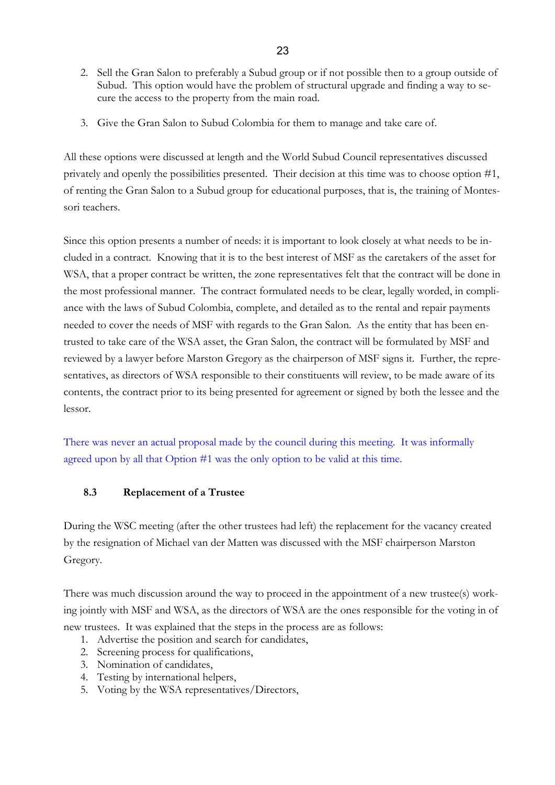- 2. Sell the Gran Salon to preferably a Subud group or if not possible then to a group outside of Subud. This option would have the problem of structural upgrade and finding a way to secure the access to the property from the main road.
- 3. Give the Gran Salon to Subud Colombia for them to manage and take care of.

All these options were discussed at length and the World Subud Council representatives discussed privately and openly the possibilities presented. Their decision at this time was to choose option #1, of renting the Gran Salon to a Subud group for educational purposes, that is, the training of Montessori teachers.

Since this option presents a number of needs: it is important to look closely at what needs to be included in a contract. Knowing that it is to the best interest of MSF as the caretakers of the asset for WSA, that a proper contract be written, the zone representatives felt that the contract will be done in the most professional manner. The contract formulated needs to be clear, legally worded, in compliance with the laws of Subud Colombia, complete, and detailed as to the rental and repair payments needed to cover the needs of MSF with regards to the Gran Salon. As the entity that has been entrusted to take care of the WSA asset, the Gran Salon, the contract will be formulated by MSF and reviewed by a lawyer before Marston Gregory as the chairperson of MSF signs it. Further, the representatives, as directors of WSA responsible to their constituents will review, to be made aware of its contents, the contract prior to its being presented for agreement or signed by both the lessee and the lessor.

There was never an actual proposal made by the council during this meeting. It was informally agreed upon by all that Option #1 was the only option to be valid at this time.

#### **8.3 Replacement of a Trustee**

During the WSC meeting (after the other trustees had left) the replacement for the vacancy created by the resignation of Michael van der Matten was discussed with the MSF chairperson Marston Gregory.

There was much discussion around the way to proceed in the appointment of a new trustee(s) working jointly with MSF and WSA, as the directors of WSA are the ones responsible for the voting in of new trustees. It was explained that the steps in the process are as follows:

- 1. Advertise the position and search for candidates,
- 2. Screening process for qualifications,
- 3. Nomination of candidates,
- 4. Testing by international helpers,
- 5. Voting by the WSA representatives/Directors,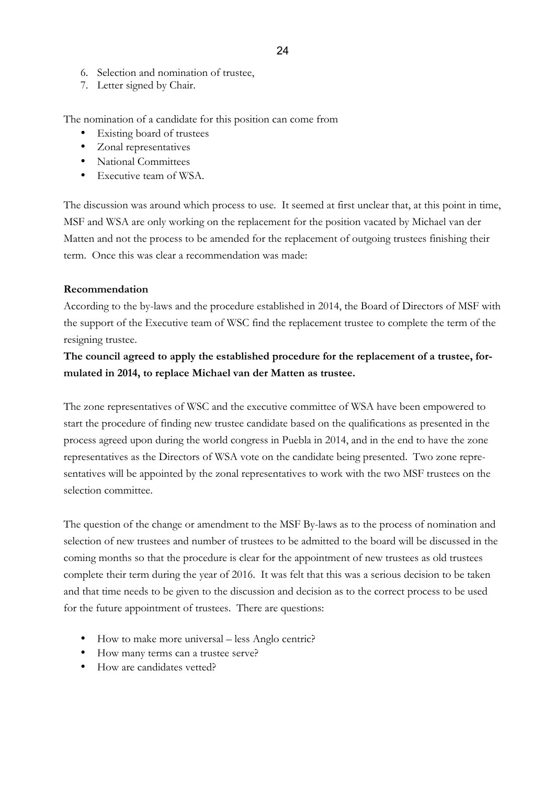- 6. Selection and nomination of trustee,
- 7. Letter signed by Chair.

The nomination of a candidate for this position can come from

- Existing board of trustees
- Zonal representatives
- National Committees
- Executive team of WSA.

The discussion was around which process to use. It seemed at first unclear that, at this point in time, MSF and WSA are only working on the replacement for the position vacated by Michael van der Matten and not the process to be amended for the replacement of outgoing trustees finishing their term. Once this was clear a recommendation was made:

#### **Recommendation**

According to the by-laws and the procedure established in 2014, the Board of Directors of MSF with the support of the Executive team of WSC find the replacement trustee to complete the term of the resigning trustee.

# **The council agreed to apply the established procedure for the replacement of a trustee, formulated in 2014, to replace Michael van der Matten as trustee.**

The zone representatives of WSC and the executive committee of WSA have been empowered to start the procedure of finding new trustee candidate based on the qualifications as presented in the process agreed upon during the world congress in Puebla in 2014, and in the end to have the zone representatives as the Directors of WSA vote on the candidate being presented. Two zone representatives will be appointed by the zonal representatives to work with the two MSF trustees on the selection committee.

The question of the change or amendment to the MSF By-laws as to the process of nomination and selection of new trustees and number of trustees to be admitted to the board will be discussed in the coming months so that the procedure is clear for the appointment of new trustees as old trustees complete their term during the year of 2016. It was felt that this was a serious decision to be taken and that time needs to be given to the discussion and decision as to the correct process to be used for the future appointment of trustees. There are questions:

- How to make more universal less Anglo centric?
- How many terms can a trustee serve?
- How are candidates vetted?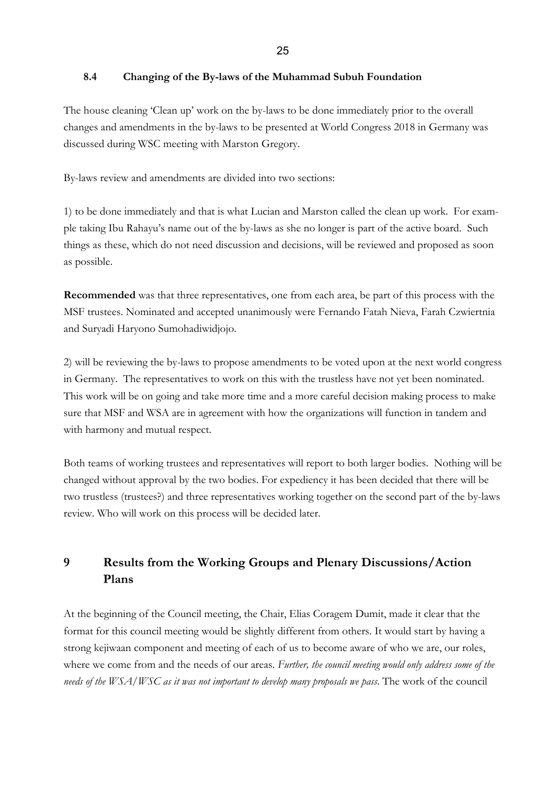#### 25

#### **8.4 Changing of the By-laws of the Muhammad Subuh Foundation**

The house cleaning 'Clean up' work on the by-laws to be done immediately prior to the overall changes and amendments in the by-laws to be presented at World Congress 2018 in Germany was discussed during WSC meeting with Marston Gregory.

By-laws review and amendments are divided into two sections:

1) to be done immediately and that is what Lucian and Marston called the clean up work. For example taking Ibu Rahayu's name out of the by-laws as she no longer is part of the active board. Such things as these, which do not need discussion and decisions, will be reviewed and proposed as soon as possible.

**Recommended** was that three representatives, one from each area, be part of this process with the MSF trustees. Nominated and accepted unanimously were Fernando Fatah Nieva, Farah Czwiertnia and Suryadi Haryono Sumohadiwidjojo.

2) will be reviewing the by-laws to propose amendments to be voted upon at the next world congress in Germany. The representatives to work on this with the trustless have not yet been nominated. This work will be on going and take more time and a more careful decision making process to make sure that MSF and WSA are in agreement with how the organizations will function in tandem and with harmony and mutual respect.

Both teams of working trustees and representatives will report to both larger bodies. Nothing will be changed without approval by the two bodies. For expediency it has been decided that there will be two trustless (trustees?) and three representatives working together on the second part of the by-laws review. Who will work on this process will be decided later.

# **9 Results from the Working Groups and Plenary Discussions/Action Plans**

At the beginning of the Council meeting, the Chair, Elias Coragem Dumit, made it clear that the format for this council meeting would be slightly different from others. It would start by having a strong kejiwaan component and meeting of each of us to become aware of who we are, our roles, where we come from and the needs of our areas. *Further, the council meeting would only address some of the needs of the WSA/WSC as it was not important to develop many proposals we pass*. The work of the council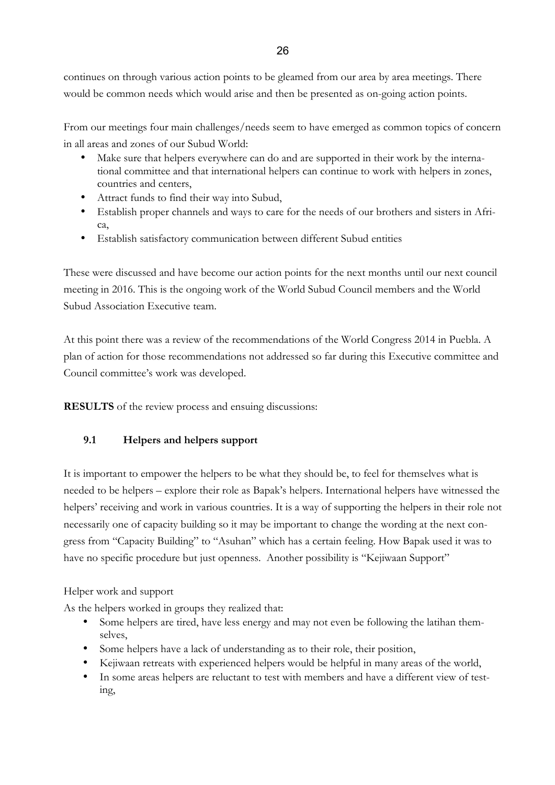continues on through various action points to be gleamed from our area by area meetings. There would be common needs which would arise and then be presented as on-going action points.

From our meetings four main challenges/needs seem to have emerged as common topics of concern in all areas and zones of our Subud World:

- Make sure that helpers everywhere can do and are supported in their work by the international committee and that international helpers can continue to work with helpers in zones, countries and centers,
- Attract funds to find their way into Subud,
- Establish proper channels and ways to care for the needs of our brothers and sisters in Africa,
- Establish satisfactory communication between different Subud entities

These were discussed and have become our action points for the next months until our next council meeting in 2016. This is the ongoing work of the World Subud Council members and the World Subud Association Executive team.

At this point there was a review of the recommendations of the World Congress 2014 in Puebla. A plan of action for those recommendations not addressed so far during this Executive committee and Council committee's work was developed.

**RESULTS** of the review process and ensuing discussions:

# **9.1 Helpers and helpers support**

It is important to empower the helpers to be what they should be, to feel for themselves what is needed to be helpers – explore their role as Bapak's helpers. International helpers have witnessed the helpers' receiving and work in various countries. It is a way of supporting the helpers in their role not necessarily one of capacity building so it may be important to change the wording at the next congress from "Capacity Building" to "Asuhan" which has a certain feeling. How Bapak used it was to have no specific procedure but just openness. Another possibility is "Kejiwaan Support"

### Helper work and support

As the helpers worked in groups they realized that:

- Some helpers are tired, have less energy and may not even be following the latihan themselves,
- Some helpers have a lack of understanding as to their role, their position,
- Kejiwaan retreats with experienced helpers would be helpful in many areas of the world,
- In some areas helpers are reluctant to test with members and have a different view of testing,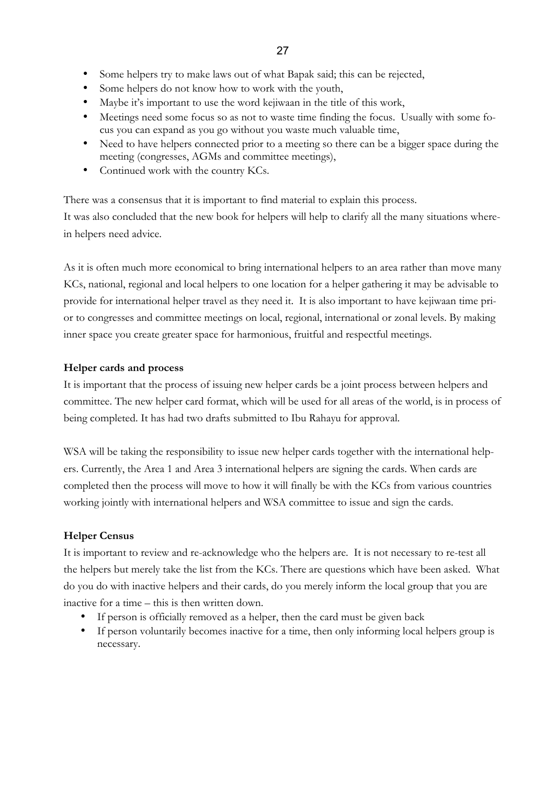- Some helpers try to make laws out of what Bapak said; this can be rejected,
- Some helpers do not know how to work with the youth,
- Maybe it's important to use the word kejiwaan in the title of this work,
- Meetings need some focus so as not to waste time finding the focus. Usually with some focus you can expand as you go without you waste much valuable time,
- Need to have helpers connected prior to a meeting so there can be a bigger space during the meeting (congresses, AGMs and committee meetings),
- Continued work with the country KCs.

There was a consensus that it is important to find material to explain this process. It was also concluded that the new book for helpers will help to clarify all the many situations wherein helpers need advice.

As it is often much more economical to bring international helpers to an area rather than move many KCs, national, regional and local helpers to one location for a helper gathering it may be advisable to provide for international helper travel as they need it. It is also important to have kejiwaan time prior to congresses and committee meetings on local, regional, international or zonal levels. By making inner space you create greater space for harmonious, fruitful and respectful meetings.

#### **Helper cards and process**

It is important that the process of issuing new helper cards be a joint process between helpers and committee. The new helper card format, which will be used for all areas of the world, is in process of being completed. It has had two drafts submitted to Ibu Rahayu for approval.

WSA will be taking the responsibility to issue new helper cards together with the international helpers. Currently, the Area 1 and Area 3 international helpers are signing the cards. When cards are completed then the process will move to how it will finally be with the KCs from various countries working jointly with international helpers and WSA committee to issue and sign the cards.

#### **Helper Census**

It is important to review and re-acknowledge who the helpers are. It is not necessary to re-test all the helpers but merely take the list from the KCs. There are questions which have been asked. What do you do with inactive helpers and their cards, do you merely inform the local group that you are inactive for a time – this is then written down.

- If person is officially removed as a helper, then the card must be given back
- If person voluntarily becomes inactive for a time, then only informing local helpers group is necessary.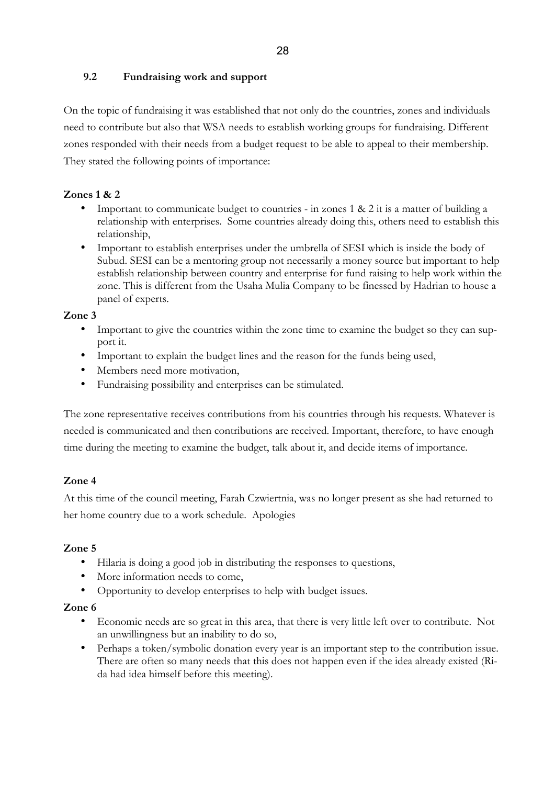# **9.2 Fundraising work and support**

On the topic of fundraising it was established that not only do the countries, zones and individuals need to contribute but also that WSA needs to establish working groups for fundraising. Different zones responded with their needs from a budget request to be able to appeal to their membership. They stated the following points of importance:

# **Zones 1 & 2**

- Important to communicate budget to countries in zones  $1 \& 2$  it is a matter of building a relationship with enterprises. Some countries already doing this, others need to establish this relationship,
- Important to establish enterprises under the umbrella of SESI which is inside the body of Subud. SESI can be a mentoring group not necessarily a money source but important to help establish relationship between country and enterprise for fund raising to help work within the zone. This is different from the Usaha Mulia Company to be finessed by Hadrian to house a panel of experts.

# **Zone 3**

- Important to give the countries within the zone time to examine the budget so they can support it.
- Important to explain the budget lines and the reason for the funds being used,
- Members need more motivation,
- Fundraising possibility and enterprises can be stimulated.

The zone representative receives contributions from his countries through his requests. Whatever is needed is communicated and then contributions are received. Important, therefore, to have enough time during the meeting to examine the budget, talk about it, and decide items of importance.

# **Zone 4**

At this time of the council meeting, Farah Czwiertnia, was no longer present as she had returned to her home country due to a work schedule. Apologies

# **Zone 5**

- Hilaria is doing a good job in distributing the responses to questions,
- More information needs to come,
- Opportunity to develop enterprises to help with budget issues.

# **Zone 6**

- Economic needs are so great in this area, that there is very little left over to contribute. Not an unwillingness but an inability to do so,
- Perhaps a token/symbolic donation every year is an important step to the contribution issue. There are often so many needs that this does not happen even if the idea already existed (Rida had idea himself before this meeting).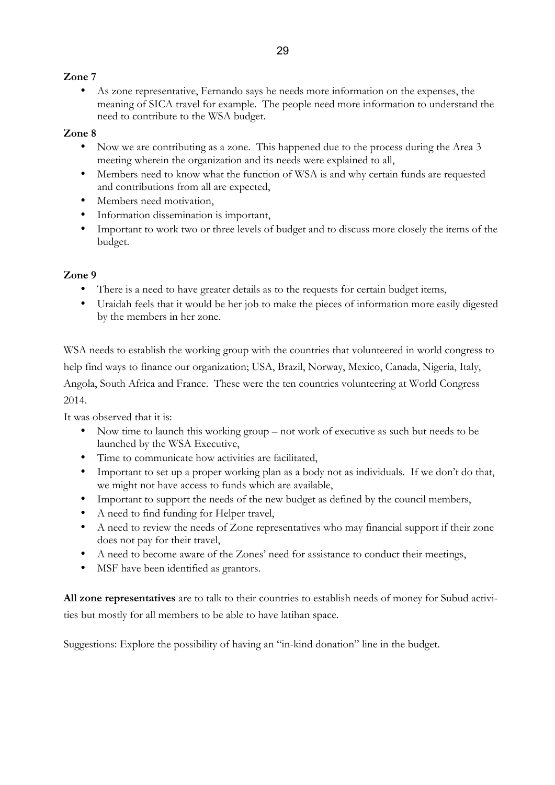# **Zone 7**

• As zone representative, Fernando says he needs more information on the expenses, the meaning of SICA travel for example. The people need more information to understand the need to contribute to the WSA budget.

# **Zone 8**

- Now we are contributing as a zone. This happened due to the process during the Area 3 meeting wherein the organization and its needs were explained to all,
- Members need to know what the function of WSA is and why certain funds are requested and contributions from all are expected,
- Members need motivation,
- Information dissemination is important,
- Important to work two or three levels of budget and to discuss more closely the items of the budget.

# **Zone 9**

- There is a need to have greater details as to the requests for certain budget items,
- Uraidah feels that it would be her job to make the pieces of information more easily digested by the members in her zone.

WSA needs to establish the working group with the countries that volunteered in world congress to help find ways to finance our organization; USA, Brazil, Norway, Mexico, Canada, Nigeria, Italy, Angola, South Africa and France. These were the ten countries volunteering at World Congress 2014.

It was observed that it is:

- Now time to launch this working group not work of executive as such but needs to be launched by the WSA Executive,
- Time to communicate how activities are facilitated,
- Important to set up a proper working plan as a body not as individuals. If we don't do that, we might not have access to funds which are available,
- Important to support the needs of the new budget as defined by the council members,
- A need to find funding for Helper travel,
- A need to review the needs of Zone representatives who may financial support if their zone does not pay for their travel,
- A need to become aware of the Zones' need for assistance to conduct their meetings,
- MSF have been identified as grantors.

**All zone representatives** are to talk to their countries to establish needs of money for Subud activities but mostly for all members to be able to have latihan space.

Suggestions: Explore the possibility of having an "in-kind donation" line in the budget.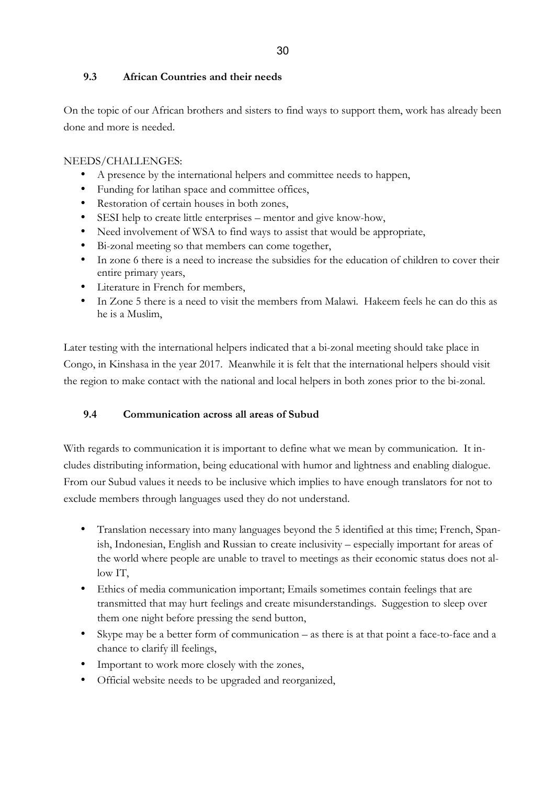## **9.3 African Countries and their needs**

On the topic of our African brothers and sisters to find ways to support them, work has already been done and more is needed.

# NEEDS/CHALLENGES:

- A presence by the international helpers and committee needs to happen,
- Funding for latihan space and committee offices,
- Restoration of certain houses in both zones,
- SESI help to create little enterprises mentor and give know-how,
- Need involvement of WSA to find ways to assist that would be appropriate,
- Bi-zonal meeting so that members can come together,
- In zone 6 there is a need to increase the subsidies for the education of children to cover their entire primary years,
- Literature in French for members,
- In Zone 5 there is a need to visit the members from Malawi. Hakeem feels he can do this as he is a Muslim,

Later testing with the international helpers indicated that a bi-zonal meeting should take place in Congo, in Kinshasa in the year 2017. Meanwhile it is felt that the international helpers should visit the region to make contact with the national and local helpers in both zones prior to the bi-zonal.

### **9.4 Communication across all areas of Subud**

With regards to communication it is important to define what we mean by communication. It includes distributing information, being educational with humor and lightness and enabling dialogue. From our Subud values it needs to be inclusive which implies to have enough translators for not to exclude members through languages used they do not understand.

- Translation necessary into many languages beyond the 5 identified at this time; French, Spanish, Indonesian, English and Russian to create inclusivity – especially important for areas of the world where people are unable to travel to meetings as their economic status does not allow IT,
- Ethics of media communication important; Emails sometimes contain feelings that are transmitted that may hurt feelings and create misunderstandings. Suggestion to sleep over them one night before pressing the send button,
- Skype may be a better form of communication as there is at that point a face-to-face and a chance to clarify ill feelings,
- Important to work more closely with the zones,
- Official website needs to be upgraded and reorganized,